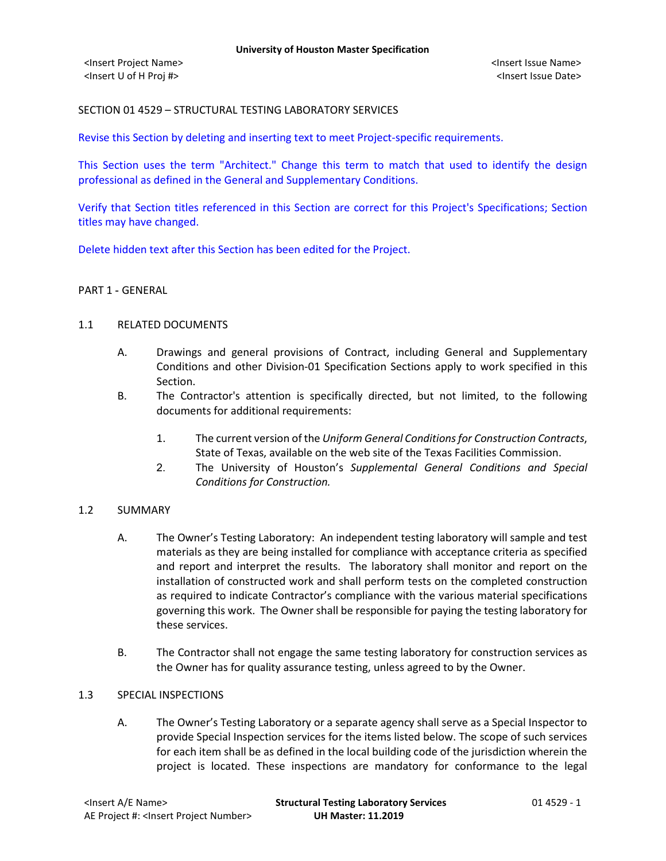# SECTION 01 4529 – STRUCTURAL TESTING LABORATORY SERVICES

Revise this Section by deleting and inserting text to meet Project-specific requirements.

This Section uses the term "Architect." Change this term to match that used to identify the design professional as defined in the General and Supplementary Conditions.

Verify that Section titles referenced in this Section are correct for this Project's Specifications; Section titles may have changed.

Delete hidden text after this Section has been edited for the Project.

## PART 1 - GENERAL

## 1.1 RELATED DOCUMENTS

- A. Drawings and general provisions of Contract, including General and Supplementary Conditions and other Division-01 Specification Sections apply to work specified in this Section.
- B. The Contractor's attention is specifically directed, but not limited, to the following documents for additional requirements:
	- 1. The current version of the *Uniform General Conditions for Construction Contracts*, State of Texas, available on the web site of the Texas Facilities Commission.
	- 2. The University of Houston's *Supplemental General Conditions and Special Conditions for Construction.*

## 1.2 SUMMARY

- A. The Owner's Testing Laboratory: An independent testing laboratory will sample and test materials as they are being installed for compliance with acceptance criteria as specified and report and interpret the results. The laboratory shall monitor and report on the installation of constructed work and shall perform tests on the completed construction as required to indicate Contractor's compliance with the various material specifications governing this work. The Owner shall be responsible for paying the testing laboratory for these services.
- B. The Contractor shall not engage the same testing laboratory for construction services as the Owner has for quality assurance testing, unless agreed to by the Owner.

## 1.3 SPECIAL INSPECTIONS

A. The Owner's Testing Laboratory or a separate agency shall serve as a Special Inspector to provide Special Inspection services for the items listed below. The scope of such services for each item shall be as defined in the local building code of the jurisdiction wherein the project is located. These inspections are mandatory for conformance to the legal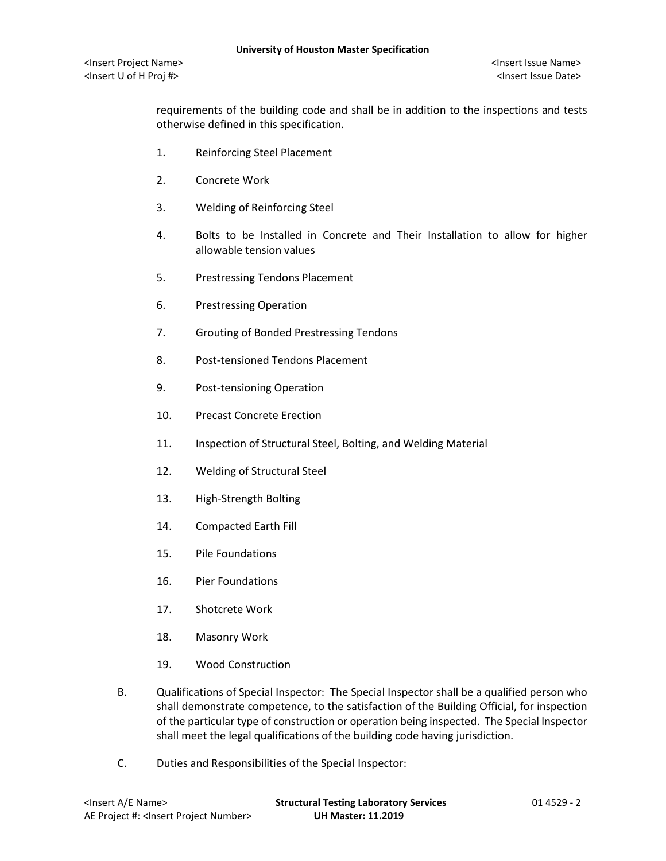requirements of the building code and shall be in addition to the inspections and tests otherwise defined in this specification.

- 1. Reinforcing Steel Placement
- 2. Concrete Work
- 3. Welding of Reinforcing Steel
- 4. Bolts to be Installed in Concrete and Their Installation to allow for higher allowable tension values
- 5. Prestressing Tendons Placement
- 6. Prestressing Operation
- 7. Grouting of Bonded Prestressing Tendons
- 8. Post-tensioned Tendons Placement
- 9. Post-tensioning Operation
- 10. Precast Concrete Erection
- 11. Inspection of Structural Steel, Bolting, and Welding Material
- 12. Welding of Structural Steel
- 13. High-Strength Bolting
- 14. Compacted Earth Fill
- 15. Pile Foundations
- 16. Pier Foundations
- 17. Shotcrete Work
- 18. Masonry Work
- 19. Wood Construction
- B. Qualifications of Special Inspector: The Special Inspector shall be a qualified person who shall demonstrate competence, to the satisfaction of the Building Official, for inspection of the particular type of construction or operation being inspected. The Special Inspector shall meet the legal qualifications of the building code having jurisdiction.
- C. Duties and Responsibilities of the Special Inspector: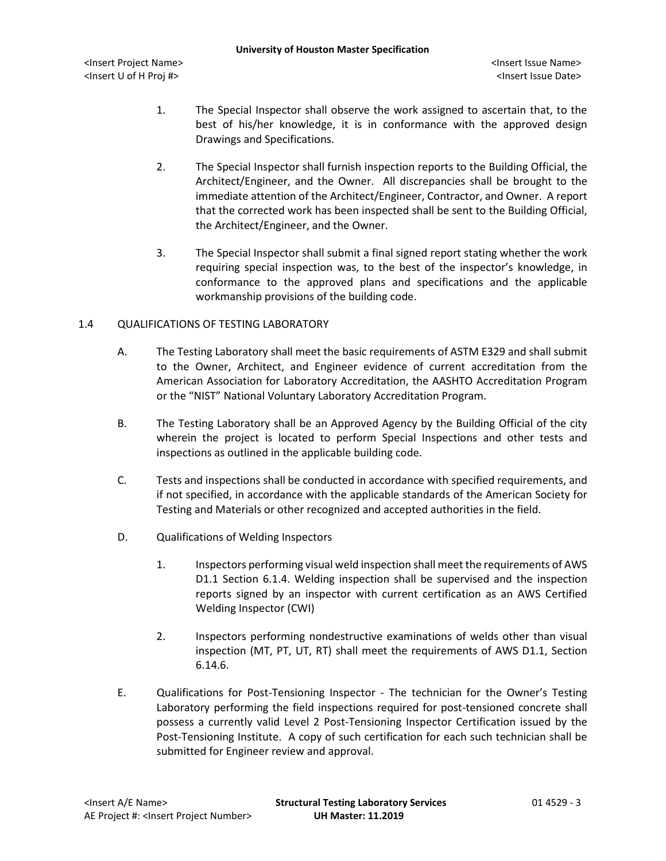- 1. The Special Inspector shall observe the work assigned to ascertain that, to the best of his/her knowledge, it is in conformance with the approved design Drawings and Specifications.
- 2. The Special Inspector shall furnish inspection reports to the Building Official, the Architect/Engineer, and the Owner. All discrepancies shall be brought to the immediate attention of the Architect/Engineer, Contractor, and Owner. A report that the corrected work has been inspected shall be sent to the Building Official, the Architect/Engineer, and the Owner.
- 3. The Special Inspector shall submit a final signed report stating whether the work requiring special inspection was, to the best of the inspector's knowledge, in conformance to the approved plans and specifications and the applicable workmanship provisions of the building code.

# 1.4 QUALIFICATIONS OF TESTING LABORATORY

- A. The Testing Laboratory shall meet the basic requirements of ASTM E329 and shall submit to the Owner, Architect, and Engineer evidence of current accreditation from the American Association for Laboratory Accreditation, the AASHTO Accreditation Program or the "NIST" National Voluntary Laboratory Accreditation Program.
- B. The Testing Laboratory shall be an Approved Agency by the Building Official of the city wherein the project is located to perform Special Inspections and other tests and inspections as outlined in the applicable building code.
- C. Tests and inspections shall be conducted in accordance with specified requirements, and if not specified, in accordance with the applicable standards of the American Society for Testing and Materials or other recognized and accepted authorities in the field.
- D. Qualifications of Welding Inspectors
	- 1. Inspectors performing visual weld inspection shall meet the requirements of AWS D1.1 Section 6.1.4. Welding inspection shall be supervised and the inspection reports signed by an inspector with current certification as an AWS Certified Welding Inspector (CWI)
	- 2. Inspectors performing nondestructive examinations of welds other than visual inspection (MT, PT, UT, RT) shall meet the requirements of AWS D1.1, Section 6.14.6.
- E. Qualifications for Post-Tensioning Inspector The technician for the Owner's Testing Laboratory performing the field inspections required for post-tensioned concrete shall possess a currently valid Level 2 Post-Tensioning Inspector Certification issued by the Post-Tensioning Institute. A copy of such certification for each such technician shall be submitted for Engineer review and approval.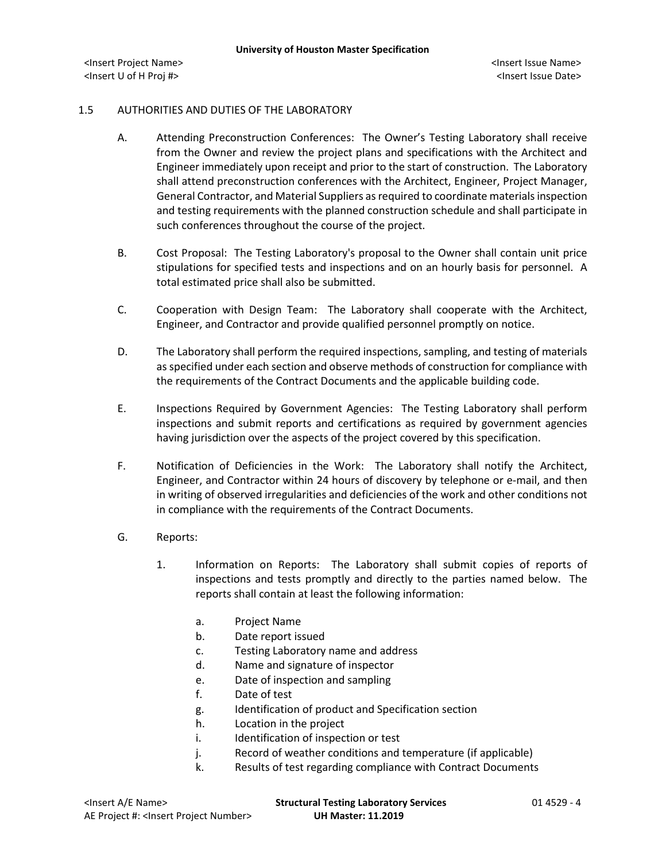# 1.5 AUTHORITIES AND DUTIES OF THE LABORATORY

- A. Attending Preconstruction Conferences: The Owner's Testing Laboratory shall receive from the Owner and review the project plans and specifications with the Architect and Engineer immediately upon receipt and prior to the start of construction. The Laboratory shall attend preconstruction conferences with the Architect, Engineer, Project Manager, General Contractor, and Material Suppliers as required to coordinate materials inspection and testing requirements with the planned construction schedule and shall participate in such conferences throughout the course of the project.
- B. Cost Proposal: The Testing Laboratory's proposal to the Owner shall contain unit price stipulations for specified tests and inspections and on an hourly basis for personnel. A total estimated price shall also be submitted.
- C. Cooperation with Design Team: The Laboratory shall cooperate with the Architect, Engineer, and Contractor and provide qualified personnel promptly on notice.
- D. The Laboratory shall perform the required inspections, sampling, and testing of materials as specified under each section and observe methods of construction for compliance with the requirements of the Contract Documents and the applicable building code.
- E. Inspections Required by Government Agencies: The Testing Laboratory shall perform inspections and submit reports and certifications as required by government agencies having jurisdiction over the aspects of the project covered by this specification.
- F. Notification of Deficiencies in the Work: The Laboratory shall notify the Architect, Engineer, and Contractor within 24 hours of discovery by telephone or e-mail, and then in writing of observed irregularities and deficiencies of the work and other conditions not in compliance with the requirements of the Contract Documents.
- G. Reports:
	- 1. Information on Reports: The Laboratory shall submit copies of reports of inspections and tests promptly and directly to the parties named below. The reports shall contain at least the following information:
		- a. Project Name
		- b. Date report issued
		- c. Testing Laboratory name and address
		- d. Name and signature of inspector
		- e. Date of inspection and sampling
		- f. Date of test
		- g. Identification of product and Specification section
		- h. Location in the project
		- i. Identification of inspection or test
		- j. Record of weather conditions and temperature (if applicable)
		- k. Results of test regarding compliance with Contract Documents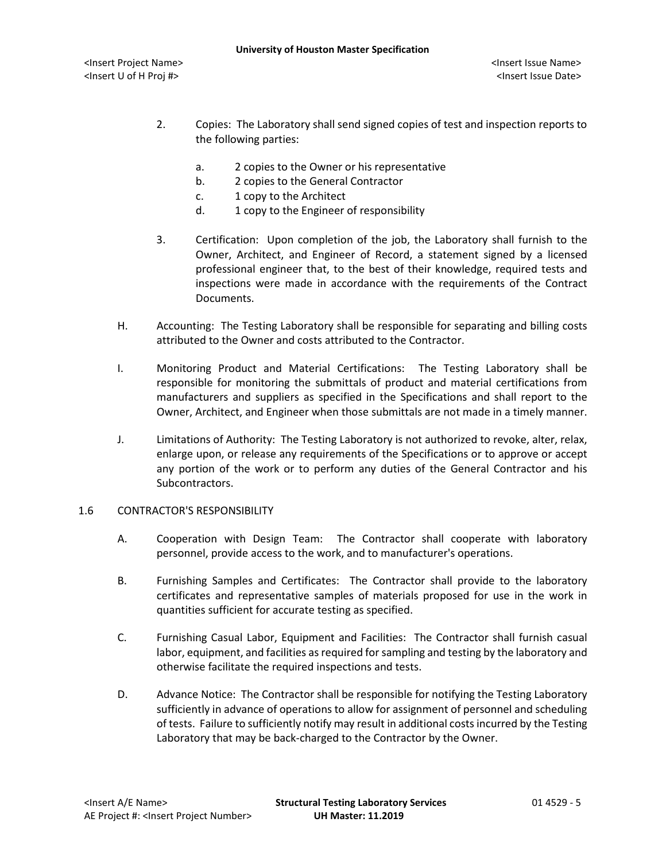- 2. Copies: The Laboratory shall send signed copies of test and inspection reports to the following parties:
	- a. 2 copies to the Owner or his representative
	- b. 2 copies to the General Contractor
	- c. 1 copy to the Architect
	- d. 1 copy to the Engineer of responsibility
- 3. Certification: Upon completion of the job, the Laboratory shall furnish to the Owner, Architect, and Engineer of Record, a statement signed by a licensed professional engineer that, to the best of their knowledge, required tests and inspections were made in accordance with the requirements of the Contract Documents.
- H. Accounting: The Testing Laboratory shall be responsible for separating and billing costs attributed to the Owner and costs attributed to the Contractor.
- I. Monitoring Product and Material Certifications: The Testing Laboratory shall be responsible for monitoring the submittals of product and material certifications from manufacturers and suppliers as specified in the Specifications and shall report to the Owner, Architect, and Engineer when those submittals are not made in a timely manner.
- J. Limitations of Authority: The Testing Laboratory is not authorized to revoke, alter, relax, enlarge upon, or release any requirements of the Specifications or to approve or accept any portion of the work or to perform any duties of the General Contractor and his Subcontractors.

## 1.6 CONTRACTOR'S RESPONSIBILITY

- A. Cooperation with Design Team: The Contractor shall cooperate with laboratory personnel, provide access to the work, and to manufacturer's operations.
- B. Furnishing Samples and Certificates: The Contractor shall provide to the laboratory certificates and representative samples of materials proposed for use in the work in quantities sufficient for accurate testing as specified.
- C. Furnishing Casual Labor, Equipment and Facilities: The Contractor shall furnish casual labor, equipment, and facilities as required for sampling and testing by the laboratory and otherwise facilitate the required inspections and tests.
- D. Advance Notice: The Contractor shall be responsible for notifying the Testing Laboratory sufficiently in advance of operations to allow for assignment of personnel and scheduling of tests. Failure to sufficiently notify may result in additional costs incurred by the Testing Laboratory that may be back-charged to the Contractor by the Owner.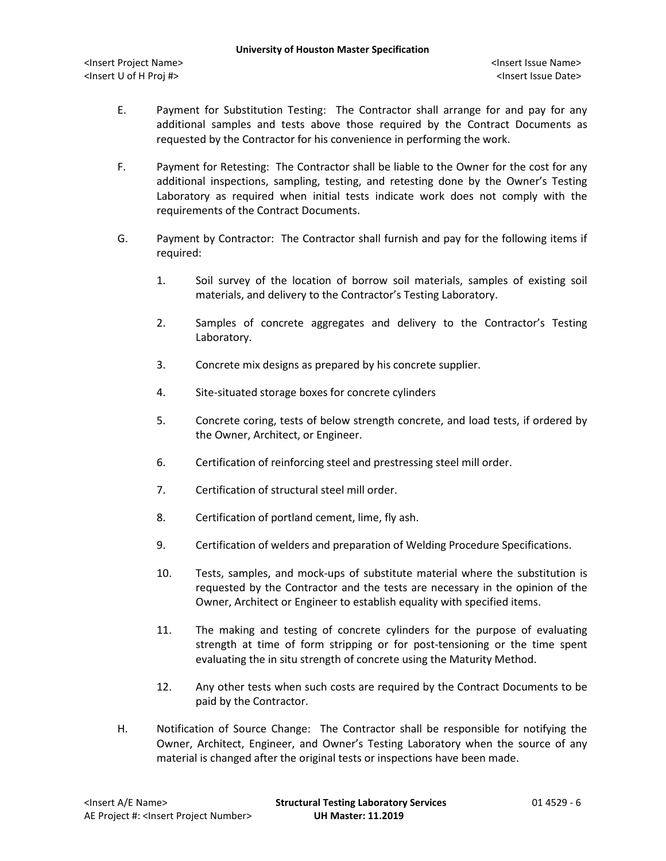- E. Payment for Substitution Testing: The Contractor shall arrange for and pay for any additional samples and tests above those required by the Contract Documents as requested by the Contractor for his convenience in performing the work.
- F. Payment for Retesting: The Contractor shall be liable to the Owner for the cost for any additional inspections, sampling, testing, and retesting done by the Owner's Testing Laboratory as required when initial tests indicate work does not comply with the requirements of the Contract Documents.
- G. Payment by Contractor: The Contractor shall furnish and pay for the following items if required:
	- 1. Soil survey of the location of borrow soil materials, samples of existing soil materials, and delivery to the Contractor's Testing Laboratory.
	- 2. Samples of concrete aggregates and delivery to the Contractor's Testing Laboratory.
	- 3. Concrete mix designs as prepared by his concrete supplier.
	- 4. Site-situated storage boxes for concrete cylinders
	- 5. Concrete coring, tests of below strength concrete, and load tests, if ordered by the Owner, Architect, or Engineer.
	- 6. Certification of reinforcing steel and prestressing steel mill order.
	- 7. Certification of structural steel mill order.
	- 8. Certification of portland cement, lime, fly ash.
	- 9. Certification of welders and preparation of Welding Procedure Specifications.
	- 10. Tests, samples, and mock-ups of substitute material where the substitution is requested by the Contractor and the tests are necessary in the opinion of the Owner, Architect or Engineer to establish equality with specified items.
	- 11. The making and testing of concrete cylinders for the purpose of evaluating strength at time of form stripping or for post-tensioning or the time spent evaluating the in situ strength of concrete using the Maturity Method.
	- 12. Any other tests when such costs are required by the Contract Documents to be paid by the Contractor.
- H. Notification of Source Change: The Contractor shall be responsible for notifying the Owner, Architect, Engineer, and Owner's Testing Laboratory when the source of any material is changed after the original tests or inspections have been made.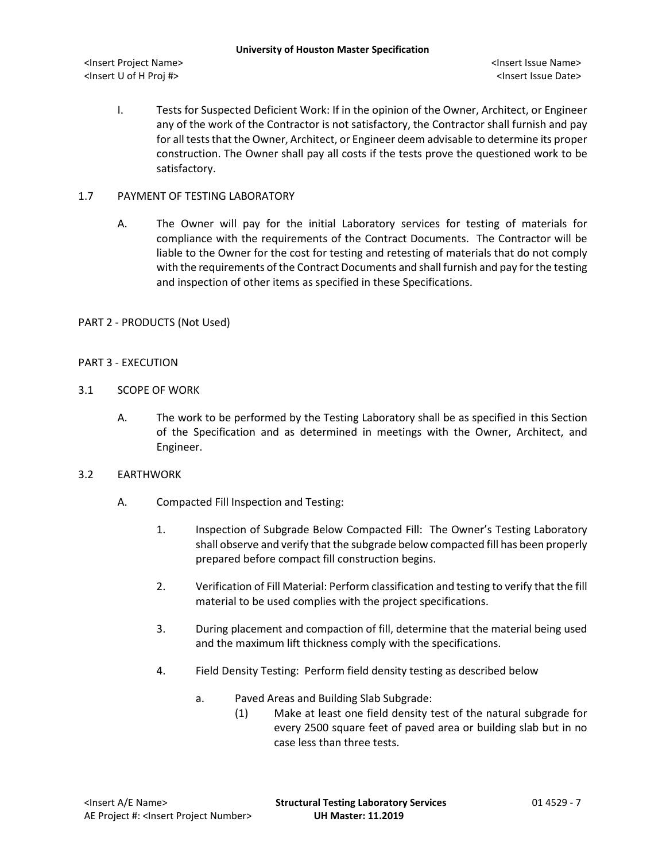I. Tests for Suspected Deficient Work: If in the opinion of the Owner, Architect, or Engineer any of the work of the Contractor is not satisfactory, the Contractor shall furnish and pay for all tests that the Owner, Architect, or Engineer deem advisable to determine its proper construction. The Owner shall pay all costs if the tests prove the questioned work to be satisfactory.

# 1.7 PAYMENT OF TESTING LABORATORY

A. The Owner will pay for the initial Laboratory services for testing of materials for compliance with the requirements of the Contract Documents. The Contractor will be liable to the Owner for the cost for testing and retesting of materials that do not comply with the requirements of the Contract Documents and shall furnish and pay for the testing and inspection of other items as specified in these Specifications.

## PART 2 - PRODUCTS (Not Used)

- PART 3 EXECUTION
- 3.1 SCOPE OF WORK
	- A. The work to be performed by the Testing Laboratory shall be as specified in this Section of the Specification and as determined in meetings with the Owner, Architect, and Engineer.
- 3.2 EARTHWORK
	- A. Compacted Fill Inspection and Testing:
		- 1. Inspection of Subgrade Below Compacted Fill: The Owner's Testing Laboratory shall observe and verify that the subgrade below compacted fill has been properly prepared before compact fill construction begins.
		- 2. Verification of Fill Material: Perform classification and testing to verify that the fill material to be used complies with the project specifications.
		- 3. During placement and compaction of fill, determine that the material being used and the maximum lift thickness comply with the specifications.
		- 4. Field Density Testing: Perform field density testing as described below
			- a. Paved Areas and Building Slab Subgrade:
				- (1) Make at least one field density test of the natural subgrade for every 2500 square feet of paved area or building slab but in no case less than three tests.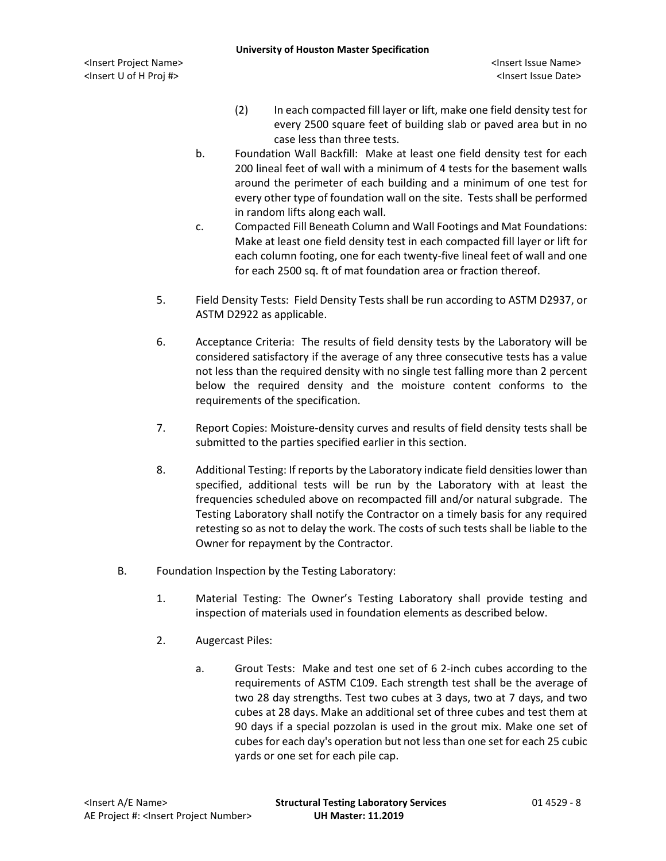- (2) In each compacted fill layer or lift, make one field density test for every 2500 square feet of building slab or paved area but in no case less than three tests.
- b. Foundation Wall Backfill: Make at least one field density test for each 200 lineal feet of wall with a minimum of 4 tests for the basement walls around the perimeter of each building and a minimum of one test for every other type of foundation wall on the site. Tests shall be performed in random lifts along each wall.
- c. Compacted Fill Beneath Column and Wall Footings and Mat Foundations: Make at least one field density test in each compacted fill layer or lift for each column footing, one for each twenty-five lineal feet of wall and one for each 2500 sq. ft of mat foundation area or fraction thereof.
- 5. Field Density Tests: Field Density Tests shall be run according to ASTM D2937, or ASTM D2922 as applicable.
- 6. Acceptance Criteria: The results of field density tests by the Laboratory will be considered satisfactory if the average of any three consecutive tests has a value not less than the required density with no single test falling more than 2 percent below the required density and the moisture content conforms to the requirements of the specification.
- 7. Report Copies: Moisture-density curves and results of field density tests shall be submitted to the parties specified earlier in this section.
- 8. Additional Testing: If reports by the Laboratory indicate field densities lower than specified, additional tests will be run by the Laboratory with at least the frequencies scheduled above on recompacted fill and/or natural subgrade. The Testing Laboratory shall notify the Contractor on a timely basis for any required retesting so as not to delay the work. The costs of such tests shall be liable to the Owner for repayment by the Contractor.
- B. Foundation Inspection by the Testing Laboratory:
	- 1. Material Testing: The Owner's Testing Laboratory shall provide testing and inspection of materials used in foundation elements as described below.
	- 2. Augercast Piles:
		- a. Grout Tests: Make and test one set of 6 2-inch cubes according to the requirements of ASTM C109. Each strength test shall be the average of two 28 day strengths. Test two cubes at 3 days, two at 7 days, and two cubes at 28 days. Make an additional set of three cubes and test them at 90 days if a special pozzolan is used in the grout mix. Make one set of cubes for each day's operation but not less than one set for each 25 cubic yards or one set for each pile cap.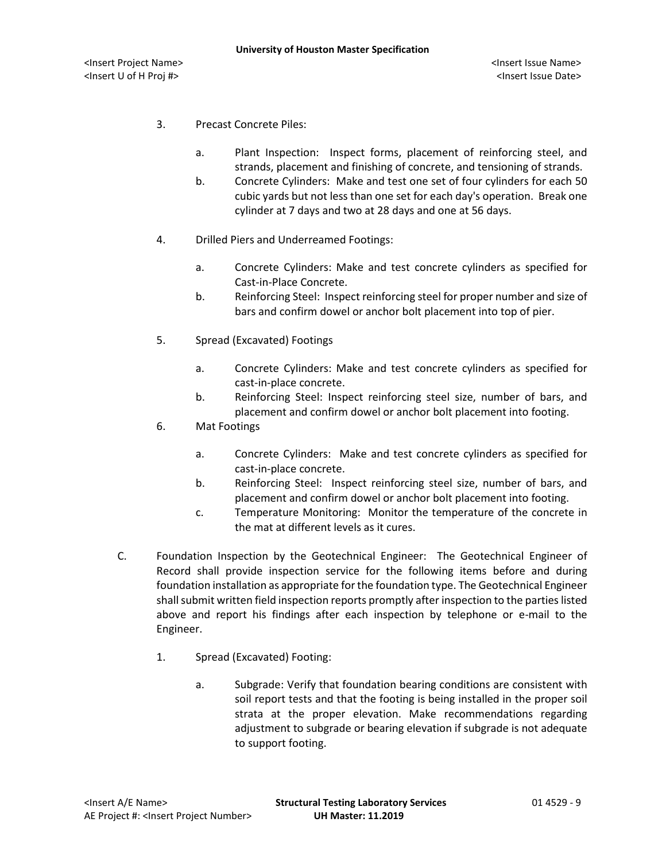- 3. Precast Concrete Piles:
	- a. Plant Inspection: Inspect forms, placement of reinforcing steel, and strands, placement and finishing of concrete, and tensioning of strands.
	- b. Concrete Cylinders: Make and test one set of four cylinders for each 50 cubic yards but not less than one set for each day's operation. Break one cylinder at 7 days and two at 28 days and one at 56 days.
- 4. Drilled Piers and Underreamed Footings:
	- a. Concrete Cylinders: Make and test concrete cylinders as specified for Cast-in-Place Concrete.
	- b. Reinforcing Steel: Inspect reinforcing steel for proper number and size of bars and confirm dowel or anchor bolt placement into top of pier.
- 5. Spread (Excavated) Footings
	- a. Concrete Cylinders: Make and test concrete cylinders as specified for cast-in-place concrete.
	- b. Reinforcing Steel: Inspect reinforcing steel size, number of bars, and placement and confirm dowel or anchor bolt placement into footing.
- 6. Mat Footings
	- a. Concrete Cylinders: Make and test concrete cylinders as specified for cast-in-place concrete.
	- b. Reinforcing Steel: Inspect reinforcing steel size, number of bars, and placement and confirm dowel or anchor bolt placement into footing.
	- c. Temperature Monitoring: Monitor the temperature of the concrete in the mat at different levels as it cures.
- C. Foundation Inspection by the Geotechnical Engineer: The Geotechnical Engineer of Record shall provide inspection service for the following items before and during foundation installation as appropriate for the foundation type. The Geotechnical Engineer shall submit written field inspection reports promptly after inspection to the parties listed above and report his findings after each inspection by telephone or e-mail to the Engineer.
	- 1. Spread (Excavated) Footing:
		- a. Subgrade: Verify that foundation bearing conditions are consistent with soil report tests and that the footing is being installed in the proper soil strata at the proper elevation. Make recommendations regarding adjustment to subgrade or bearing elevation if subgrade is not adequate to support footing.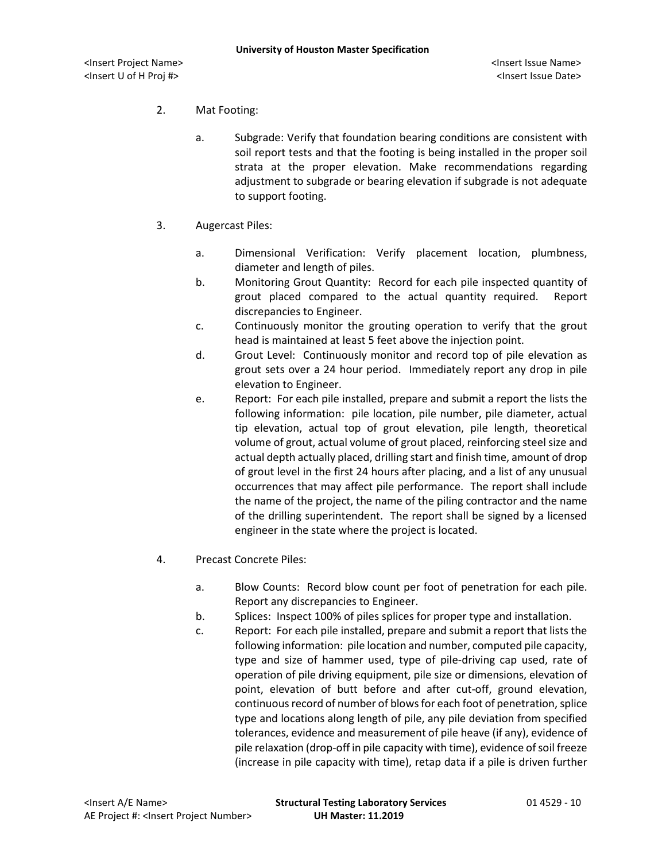- 2. Mat Footing:
	- a. Subgrade: Verify that foundation bearing conditions are consistent with soil report tests and that the footing is being installed in the proper soil strata at the proper elevation. Make recommendations regarding adjustment to subgrade or bearing elevation if subgrade is not adequate to support footing.
- 3. Augercast Piles:
	- a. Dimensional Verification: Verify placement location, plumbness, diameter and length of piles.
	- b. Monitoring Grout Quantity: Record for each pile inspected quantity of grout placed compared to the actual quantity required. Report discrepancies to Engineer.
	- c. Continuously monitor the grouting operation to verify that the grout head is maintained at least 5 feet above the injection point.
	- d. Grout Level: Continuously monitor and record top of pile elevation as grout sets over a 24 hour period. Immediately report any drop in pile elevation to Engineer.
	- e. Report: For each pile installed, prepare and submit a report the lists the following information: pile location, pile number, pile diameter, actual tip elevation, actual top of grout elevation, pile length, theoretical volume of grout, actual volume of grout placed, reinforcing steel size and actual depth actually placed, drilling start and finish time, amount of drop of grout level in the first 24 hours after placing, and a list of any unusual occurrences that may affect pile performance. The report shall include the name of the project, the name of the piling contractor and the name of the drilling superintendent. The report shall be signed by a licensed engineer in the state where the project is located.
- 4. Precast Concrete Piles:
	- a. Blow Counts: Record blow count per foot of penetration for each pile. Report any discrepancies to Engineer.
	- b. Splices: Inspect 100% of piles splices for proper type and installation.
	- c. Report: For each pile installed, prepare and submit a report that lists the following information: pile location and number, computed pile capacity, type and size of hammer used, type of pile-driving cap used, rate of operation of pile driving equipment, pile size or dimensions, elevation of point, elevation of butt before and after cut-off, ground elevation, continuous record of number of blows for each foot of penetration, splice type and locations along length of pile, any pile deviation from specified tolerances, evidence and measurement of pile heave (if any), evidence of pile relaxation (drop-off in pile capacity with time), evidence of soil freeze (increase in pile capacity with time), retap data if a pile is driven further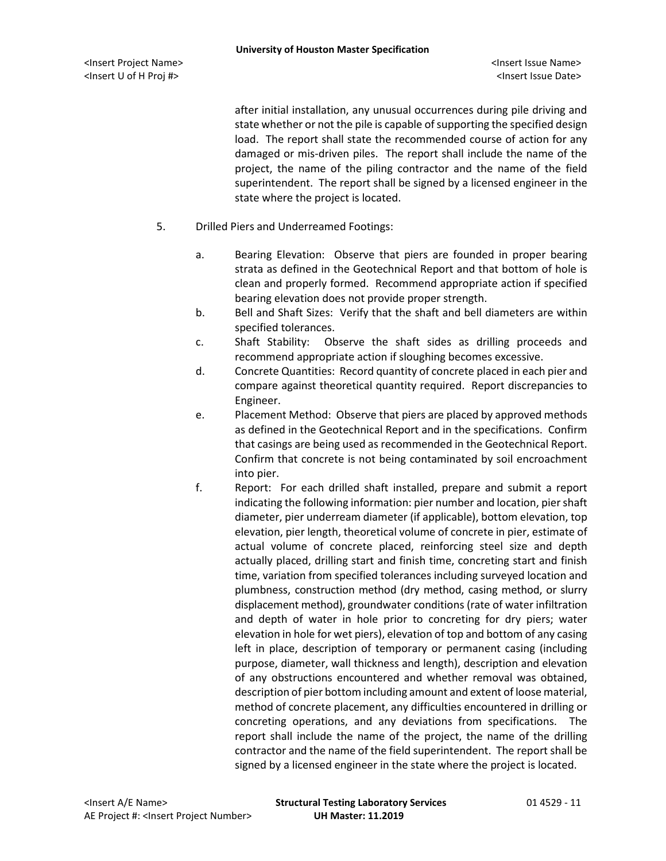after initial installation, any unusual occurrences during pile driving and state whether or not the pile is capable of supporting the specified design load. The report shall state the recommended course of action for any damaged or mis-driven piles. The report shall include the name of the project, the name of the piling contractor and the name of the field superintendent. The report shall be signed by a licensed engineer in the state where the project is located.

- 5. Drilled Piers and Underreamed Footings:
	- a. Bearing Elevation: Observe that piers are founded in proper bearing strata as defined in the Geotechnical Report and that bottom of hole is clean and properly formed. Recommend appropriate action if specified bearing elevation does not provide proper strength.
	- b. Bell and Shaft Sizes: Verify that the shaft and bell diameters are within specified tolerances.
	- c. Shaft Stability: Observe the shaft sides as drilling proceeds and recommend appropriate action if sloughing becomes excessive.
	- d. Concrete Quantities: Record quantity of concrete placed in each pier and compare against theoretical quantity required. Report discrepancies to Engineer.
	- e. Placement Method: Observe that piers are placed by approved methods as defined in the Geotechnical Report and in the specifications. Confirm that casings are being used as recommended in the Geotechnical Report. Confirm that concrete is not being contaminated by soil encroachment into pier.
	- f. Report: For each drilled shaft installed, prepare and submit a report indicating the following information: pier number and location, pier shaft diameter, pier underream diameter (if applicable), bottom elevation, top elevation, pier length, theoretical volume of concrete in pier, estimate of actual volume of concrete placed, reinforcing steel size and depth actually placed, drilling start and finish time, concreting start and finish time, variation from specified tolerances including surveyed location and plumbness, construction method (dry method, casing method, or slurry displacement method), groundwater conditions (rate of water infiltration and depth of water in hole prior to concreting for dry piers; water elevation in hole for wet piers), elevation of top and bottom of any casing left in place, description of temporary or permanent casing (including purpose, diameter, wall thickness and length), description and elevation of any obstructions encountered and whether removal was obtained, description of pier bottom including amount and extent of loose material, method of concrete placement, any difficulties encountered in drilling or concreting operations, and any deviations from specifications. The report shall include the name of the project, the name of the drilling contractor and the name of the field superintendent. The report shall be signed by a licensed engineer in the state where the project is located.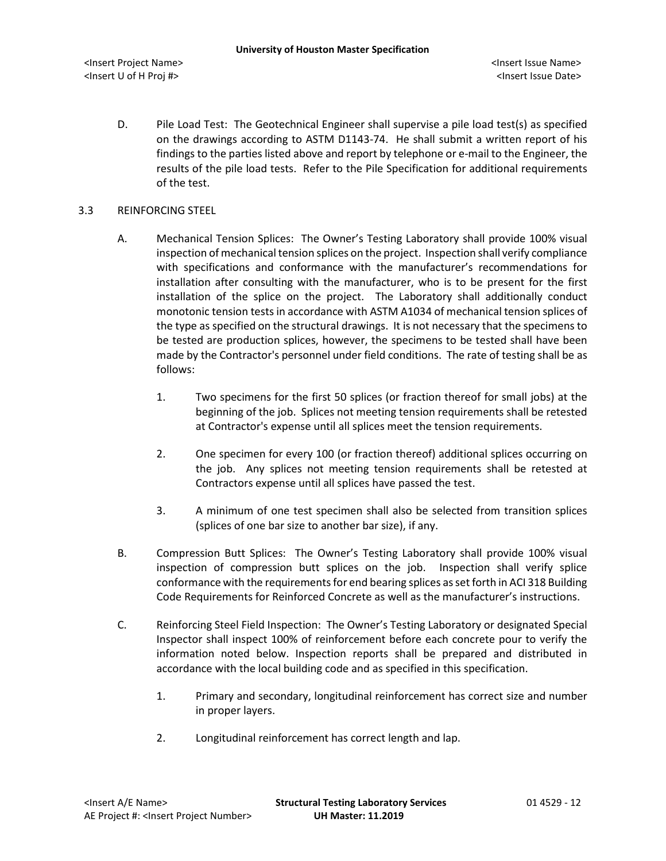D. Pile Load Test: The Geotechnical Engineer shall supervise a pile load test(s) as specified on the drawings according to ASTM D1143-74. He shall submit a written report of his findings to the parties listed above and report by telephone or e-mail to the Engineer, the results of the pile load tests. Refer to the Pile Specification for additional requirements of the test.

# 3.3 REINFORCING STEEL

- A. Mechanical Tension Splices: The Owner's Testing Laboratory shall provide 100% visual inspection of mechanical tension splices on the project. Inspection shall verify compliance with specifications and conformance with the manufacturer's recommendations for installation after consulting with the manufacturer, who is to be present for the first installation of the splice on the project. The Laboratory shall additionally conduct monotonic tension tests in accordance with ASTM A1034 of mechanical tension splices of the type as specified on the structural drawings. It is not necessary that the specimens to be tested are production splices, however, the specimens to be tested shall have been made by the Contractor's personnel under field conditions. The rate of testing shall be as follows:
	- 1. Two specimens for the first 50 splices (or fraction thereof for small jobs) at the beginning of the job. Splices not meeting tension requirements shall be retested at Contractor's expense until all splices meet the tension requirements.
	- 2. One specimen for every 100 (or fraction thereof) additional splices occurring on the job. Any splices not meeting tension requirements shall be retested at Contractors expense until all splices have passed the test.
	- 3. A minimum of one test specimen shall also be selected from transition splices (splices of one bar size to another bar size), if any.
- B. Compression Butt Splices: The Owner's Testing Laboratory shall provide 100% visual inspection of compression butt splices on the job. Inspection shall verify splice conformance with the requirements for end bearing splices as set forth in ACI 318 Building Code Requirements for Reinforced Concrete as well as the manufacturer's instructions.
- C. Reinforcing Steel Field Inspection: The Owner's Testing Laboratory or designated Special Inspector shall inspect 100% of reinforcement before each concrete pour to verify the information noted below. Inspection reports shall be prepared and distributed in accordance with the local building code and as specified in this specification.
	- 1. Primary and secondary, longitudinal reinforcement has correct size and number in proper layers.
	- 2. Longitudinal reinforcement has correct length and lap.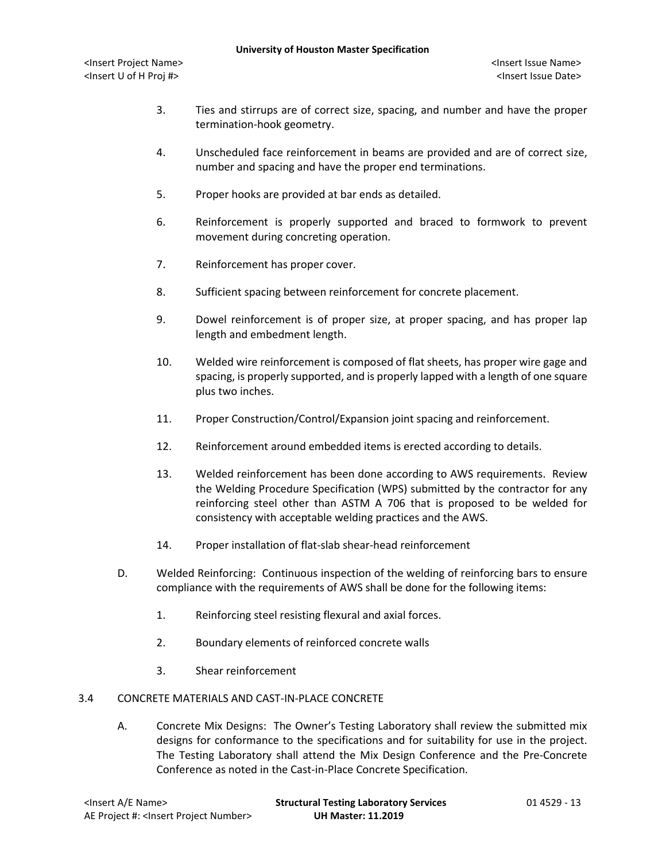- 3. Ties and stirrups are of correct size, spacing, and number and have the proper termination-hook geometry.
- 4. Unscheduled face reinforcement in beams are provided and are of correct size, number and spacing and have the proper end terminations.
- 5. Proper hooks are provided at bar ends as detailed.
- 6. Reinforcement is properly supported and braced to formwork to prevent movement during concreting operation.
- 7. Reinforcement has proper cover.
- 8. Sufficient spacing between reinforcement for concrete placement.
- 9. Dowel reinforcement is of proper size, at proper spacing, and has proper lap length and embedment length.
- 10. Welded wire reinforcement is composed of flat sheets, has proper wire gage and spacing, is properly supported, and is properly lapped with a length of one square plus two inches.
- 11. Proper Construction/Control/Expansion joint spacing and reinforcement.
- 12. Reinforcement around embedded items is erected according to details.
- 13. Welded reinforcement has been done according to AWS requirements. Review the Welding Procedure Specification (WPS) submitted by the contractor for any reinforcing steel other than ASTM A 706 that is proposed to be welded for consistency with acceptable welding practices and the AWS.
- 14. Proper installation of flat-slab shear-head reinforcement
- D. Welded Reinforcing: Continuous inspection of the welding of reinforcing bars to ensure compliance with the requirements of AWS shall be done for the following items:
	- 1. Reinforcing steel resisting flexural and axial forces.
	- 2. Boundary elements of reinforced concrete walls
	- 3. Shear reinforcement

## 3.4 CONCRETE MATERIALS AND CAST-IN-PLACE CONCRETE

A. Concrete Mix Designs: The Owner's Testing Laboratory shall review the submitted mix designs for conformance to the specifications and for suitability for use in the project. The Testing Laboratory shall attend the Mix Design Conference and the Pre-Concrete Conference as noted in the Cast-in-Place Concrete Specification.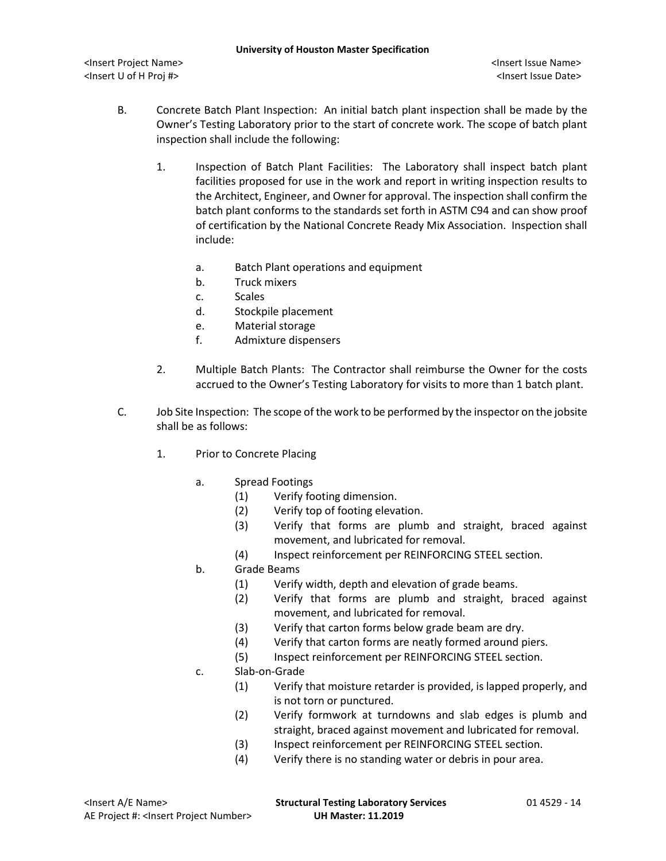- B. Concrete Batch Plant Inspection: An initial batch plant inspection shall be made by the Owner's Testing Laboratory prior to the start of concrete work. The scope of batch plant inspection shall include the following:
	- 1. Inspection of Batch Plant Facilities: The Laboratory shall inspect batch plant facilities proposed for use in the work and report in writing inspection results to the Architect, Engineer, and Owner for approval. The inspection shall confirm the batch plant conforms to the standards set forth in ASTM C94 and can show proof of certification by the National Concrete Ready Mix Association. Inspection shall include:
		- a. Batch Plant operations and equipment
		- b. Truck mixers
		- c. Scales
		- d. Stockpile placement
		- e. Material storage
		- f. Admixture dispensers
	- 2. Multiple Batch Plants: The Contractor shall reimburse the Owner for the costs accrued to the Owner's Testing Laboratory for visits to more than 1 batch plant.
- C. Job Site Inspection: The scope of the work to be performed by the inspector on the jobsite shall be as follows:
	- 1. Prior to Concrete Placing
		- a. Spread Footings
			- (1) Verify footing dimension.
			- (2) Verify top of footing elevation.
			- (3) Verify that forms are plumb and straight, braced against movement, and lubricated for removal.
			- (4) Inspect reinforcement per REINFORCING STEEL section.
		- b. Grade Beams
			- (1) Verify width, depth and elevation of grade beams.
			- (2) Verify that forms are plumb and straight, braced against movement, and lubricated for removal.
			- (3) Verify that carton forms below grade beam are dry.
			- (4) Verify that carton forms are neatly formed around piers.
			- (5) Inspect reinforcement per REINFORCING STEEL section.
		- c. Slab-on-Grade
			- (1) Verify that moisture retarder is provided, is lapped properly, and is not torn or punctured.
			- (2) Verify formwork at turndowns and slab edges is plumb and straight, braced against movement and lubricated for removal.
			- (3) Inspect reinforcement per REINFORCING STEEL section.
			- (4) Verify there is no standing water or debris in pour area.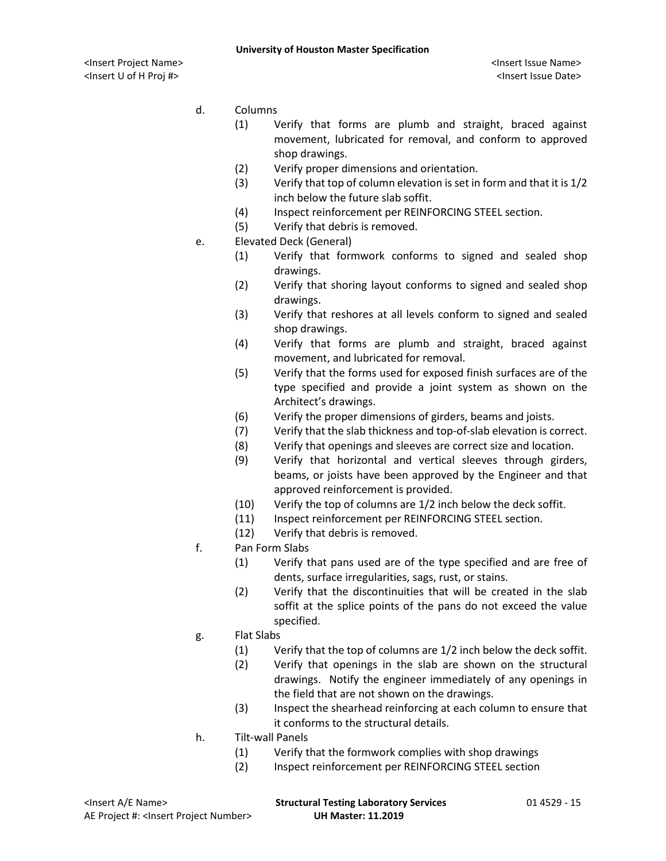## d. Columns

- (1) Verify that forms are plumb and straight, braced against movement, lubricated for removal, and conform to approved shop drawings.
- (2) Verify proper dimensions and orientation.
- (3) Verify that top of column elevation is set in form and that it is 1/2 inch below the future slab soffit.
- (4) Inspect reinforcement per REINFORCING STEEL section.
- (5) Verify that debris is removed.
- e. Elevated Deck (General)
	- (1) Verify that formwork conforms to signed and sealed shop drawings.
	- (2) Verify that shoring layout conforms to signed and sealed shop drawings.
	- (3) Verify that reshores at all levels conform to signed and sealed shop drawings.
	- (4) Verify that forms are plumb and straight, braced against movement, and lubricated for removal.
	- (5) Verify that the forms used for exposed finish surfaces are of the type specified and provide a joint system as shown on the Architect's drawings.
	- (6) Verify the proper dimensions of girders, beams and joists.
	- (7) Verify that the slab thickness and top-of-slab elevation is correct.
	- (8) Verify that openings and sleeves are correct size and location.
	- (9) Verify that horizontal and vertical sleeves through girders, beams, or joists have been approved by the Engineer and that approved reinforcement is provided.
	- (10) Verify the top of columns are 1/2 inch below the deck soffit.
	- (11) Inspect reinforcement per REINFORCING STEEL section.
	- (12) Verify that debris is removed.
- f. Pan Form Slabs
	- (1) Verify that pans used are of the type specified and are free of dents, surface irregularities, sags, rust, or stains.
	- (2) Verify that the discontinuities that will be created in the slab soffit at the splice points of the pans do not exceed the value specified.
- g. Flat Slabs
	- (1) Verify that the top of columns are 1/2 inch below the deck soffit.
	- (2) Verify that openings in the slab are shown on the structural drawings. Notify the engineer immediately of any openings in the field that are not shown on the drawings.
	- (3) Inspect the shearhead reinforcing at each column to ensure that it conforms to the structural details.
- h. Tilt-wall Panels
	- (1) Verify that the formwork complies with shop drawings
	- (2) Inspect reinforcement per REINFORCING STEEL section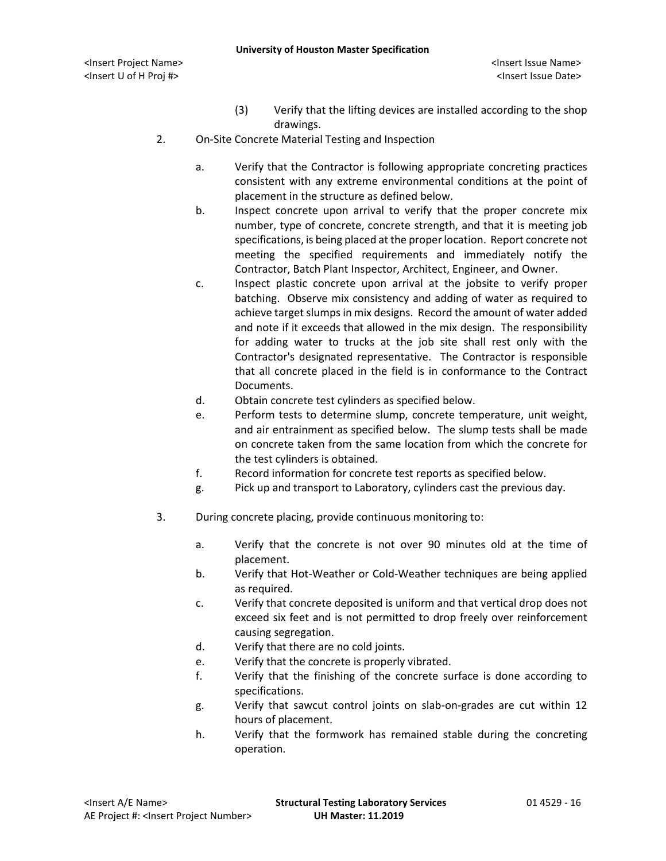- (3) Verify that the lifting devices are installed according to the shop drawings.
- 2. On-Site Concrete Material Testing and Inspection
	- a. Verify that the Contractor is following appropriate concreting practices consistent with any extreme environmental conditions at the point of placement in the structure as defined below.
	- b. Inspect concrete upon arrival to verify that the proper concrete mix number, type of concrete, concrete strength, and that it is meeting job specifications, is being placed at the proper location. Report concrete not meeting the specified requirements and immediately notify the Contractor, Batch Plant Inspector, Architect, Engineer, and Owner.
	- c. Inspect plastic concrete upon arrival at the jobsite to verify proper batching. Observe mix consistency and adding of water as required to achieve target slumps in mix designs. Record the amount of water added and note if it exceeds that allowed in the mix design. The responsibility for adding water to trucks at the job site shall rest only with the Contractor's designated representative. The Contractor is responsible that all concrete placed in the field is in conformance to the Contract Documents.
	- d. Obtain concrete test cylinders as specified below.
	- e. Perform tests to determine slump, concrete temperature, unit weight, and air entrainment as specified below. The slump tests shall be made on concrete taken from the same location from which the concrete for the test cylinders is obtained.
	- f. Record information for concrete test reports as specified below.
	- g. Pick up and transport to Laboratory, cylinders cast the previous day.
- 3. During concrete placing, provide continuous monitoring to:
	- a. Verify that the concrete is not over 90 minutes old at the time of placement.
	- b. Verify that Hot-Weather or Cold-Weather techniques are being applied as required.
	- c. Verify that concrete deposited is uniform and that vertical drop does not exceed six feet and is not permitted to drop freely over reinforcement causing segregation.
	- d. Verify that there are no cold joints.
	- e. Verify that the concrete is properly vibrated.
	- f. Verify that the finishing of the concrete surface is done according to specifications.
	- g. Verify that sawcut control joints on slab-on-grades are cut within 12 hours of placement.
	- h. Verify that the formwork has remained stable during the concreting operation.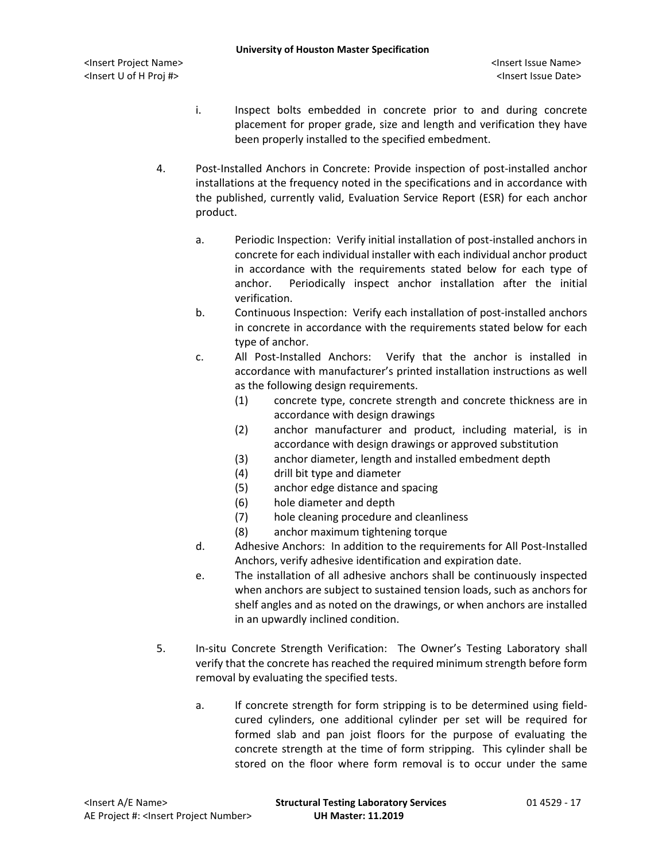- i. Inspect bolts embedded in concrete prior to and during concrete placement for proper grade, size and length and verification they have been properly installed to the specified embedment.
- 4. Post-Installed Anchors in Concrete: Provide inspection of post-installed anchor installations at the frequency noted in the specifications and in accordance with the published, currently valid, Evaluation Service Report (ESR) for each anchor product.
	- a. Periodic Inspection: Verify initial installation of post-installed anchors in concrete for each individual installer with each individual anchor product in accordance with the requirements stated below for each type of anchor. Periodically inspect anchor installation after the initial verification.
	- b. Continuous Inspection: Verify each installation of post-installed anchors in concrete in accordance with the requirements stated below for each type of anchor.
	- c. All Post-Installed Anchors: Verify that the anchor is installed in accordance with manufacturer's printed installation instructions as well as the following design requirements.
		- (1) concrete type, concrete strength and concrete thickness are in accordance with design drawings
		- (2) anchor manufacturer and product, including material, is in accordance with design drawings or approved substitution
		- (3) anchor diameter, length and installed embedment depth
		- (4) drill bit type and diameter
		- (5) anchor edge distance and spacing
		- (6) hole diameter and depth
		- (7) hole cleaning procedure and cleanliness
		- (8) anchor maximum tightening torque
	- d. Adhesive Anchors: In addition to the requirements for All Post-Installed Anchors, verify adhesive identification and expiration date.
	- e. The installation of all adhesive anchors shall be continuously inspected when anchors are subject to sustained tension loads, such as anchors for shelf angles and as noted on the drawings, or when anchors are installed in an upwardly inclined condition.
- 5. In-situ Concrete Strength Verification: The Owner's Testing Laboratory shall verify that the concrete has reached the required minimum strength before form removal by evaluating the specified tests.
	- a. If concrete strength for form stripping is to be determined using fieldcured cylinders, one additional cylinder per set will be required for formed slab and pan joist floors for the purpose of evaluating the concrete strength at the time of form stripping. This cylinder shall be stored on the floor where form removal is to occur under the same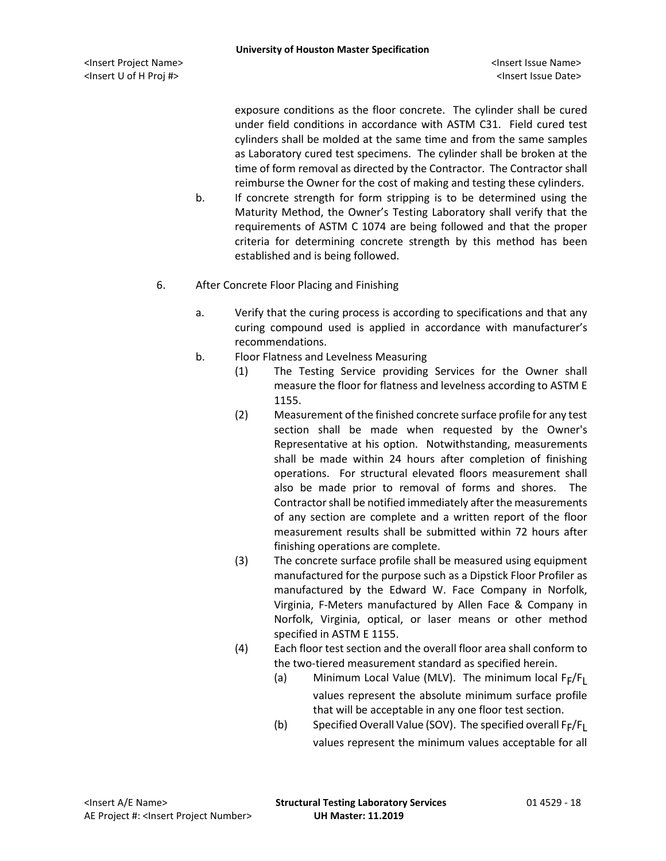exposure conditions as the floor concrete. The cylinder shall be cured under field conditions in accordance with ASTM C31. Field cured test cylinders shall be molded at the same time and from the same samples as Laboratory cured test specimens. The cylinder shall be broken at the time of form removal as directed by the Contractor. The Contractor shall reimburse the Owner for the cost of making and testing these cylinders.

- b. If concrete strength for form stripping is to be determined using the Maturity Method, the Owner's Testing Laboratory shall verify that the requirements of ASTM C 1074 are being followed and that the proper criteria for determining concrete strength by this method has been established and is being followed.
- 6. After Concrete Floor Placing and Finishing
	- a. Verify that the curing process is according to specifications and that any curing compound used is applied in accordance with manufacturer's recommendations.
	- b. Floor Flatness and Levelness Measuring
		- (1) The Testing Service providing Services for the Owner shall measure the floor for flatness and levelness according to ASTM E 1155.
		- (2) Measurement of the finished concrete surface profile for any test section shall be made when requested by the Owner's Representative at his option. Notwithstanding, measurements shall be made within 24 hours after completion of finishing operations. For structural elevated floors measurement shall also be made prior to removal of forms and shores. The Contractor shall be notified immediately after the measurements of any section are complete and a written report of the floor measurement results shall be submitted within 72 hours after finishing operations are complete.
		- (3) The concrete surface profile shall be measured using equipment manufactured for the purpose such as a Dipstick Floor Profiler as manufactured by the Edward W. Face Company in Norfolk, Virginia, F-Meters manufactured by Allen Face & Company in Norfolk, Virginia, optical, or laser means or other method specified in ASTM E 1155.
		- (4) Each floor test section and the overall floor area shall conform to the two-tiered measurement standard as specified herein.
			- (a) Minimum Local Value (MLV). The minimum local  $F_F/F_F$ values represent the absolute minimum surface profile that will be acceptable in any one floor test section.
			- (b) Specified Overall Value (SOV). The specified overall  $F_F/F_F$ values represent the minimum values acceptable for all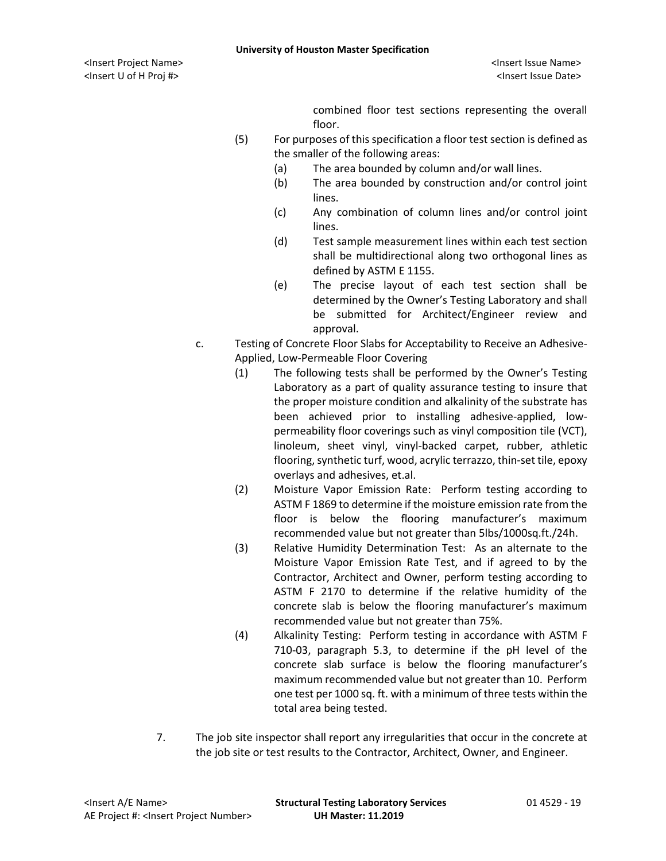combined floor test sections representing the overall floor.

- (5) For purposes of this specification a floor test section is defined as the smaller of the following areas:
	- (a) The area bounded by column and/or wall lines.
	- (b) The area bounded by construction and/or control joint lines.
	- (c) Any combination of column lines and/or control joint lines.
	- (d) Test sample measurement lines within each test section shall be multidirectional along two orthogonal lines as defined by ASTM E 1155.
	- (e) The precise layout of each test section shall be determined by the Owner's Testing Laboratory and shall be submitted for Architect/Engineer review and approval.
- c. Testing of Concrete Floor Slabs for Acceptability to Receive an Adhesive-Applied, Low-Permeable Floor Covering
	- (1) The following tests shall be performed by the Owner's Testing Laboratory as a part of quality assurance testing to insure that the proper moisture condition and alkalinity of the substrate has been achieved prior to installing adhesive-applied, lowpermeability floor coverings such as vinyl composition tile (VCT), linoleum, sheet vinyl, vinyl-backed carpet, rubber, athletic flooring, synthetic turf, wood, acrylic terrazzo, thin-set tile, epoxy overlays and adhesives, et.al.
	- (2) Moisture Vapor Emission Rate: Perform testing according to ASTM F 1869 to determine if the moisture emission rate from the floor is below the flooring manufacturer's maximum recommended value but not greater than 5lbs/1000sq.ft./24h.
	- (3) Relative Humidity Determination Test: As an alternate to the Moisture Vapor Emission Rate Test, and if agreed to by the Contractor, Architect and Owner, perform testing according to ASTM F 2170 to determine if the relative humidity of the concrete slab is below the flooring manufacturer's maximum recommended value but not greater than 75%.
	- (4) Alkalinity Testing: Perform testing in accordance with ASTM F 710-03, paragraph 5.3, to determine if the pH level of the concrete slab surface is below the flooring manufacturer's maximum recommended value but not greater than 10. Perform one test per 1000 sq. ft. with a minimum of three tests within the total area being tested.
- 7. The job site inspector shall report any irregularities that occur in the concrete at the job site or test results to the Contractor, Architect, Owner, and Engineer.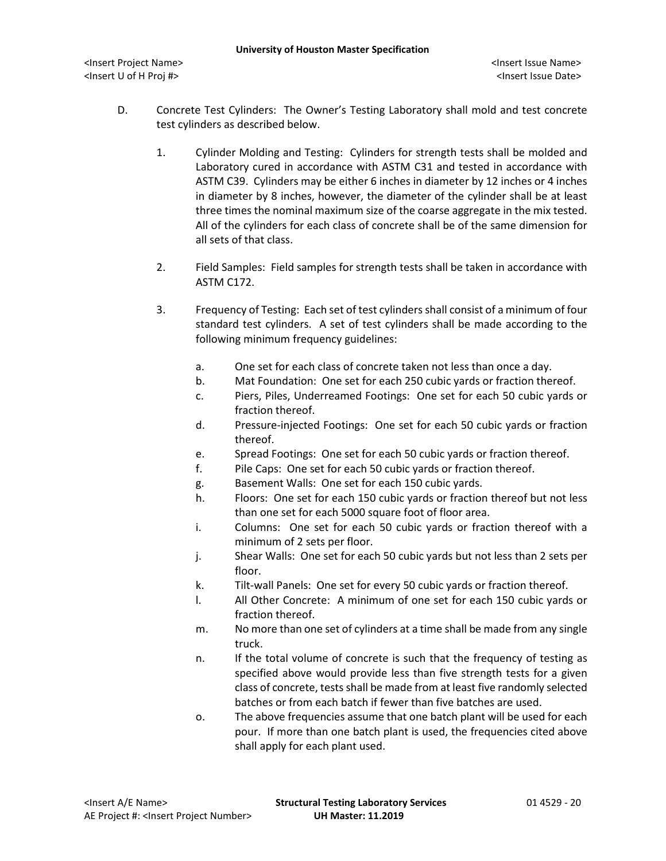- D. Concrete Test Cylinders: The Owner's Testing Laboratory shall mold and test concrete test cylinders as described below.
	- 1. Cylinder Molding and Testing: Cylinders for strength tests shall be molded and Laboratory cured in accordance with ASTM C31 and tested in accordance with ASTM C39. Cylinders may be either 6 inches in diameter by 12 inches or 4 inches in diameter by 8 inches, however, the diameter of the cylinder shall be at least three times the nominal maximum size of the coarse aggregate in the mix tested. All of the cylinders for each class of concrete shall be of the same dimension for all sets of that class.
	- 2. Field Samples: Field samples for strength tests shall be taken in accordance with ASTM C172.
	- 3. Frequency of Testing: Each set of test cylinders shall consist of a minimum of four standard test cylinders. A set of test cylinders shall be made according to the following minimum frequency guidelines:
		- a. One set for each class of concrete taken not less than once a day.
		- b. Mat Foundation: One set for each 250 cubic yards or fraction thereof.
		- c. Piers, Piles, Underreamed Footings: One set for each 50 cubic yards or fraction thereof.
		- d. Pressure-injected Footings: One set for each 50 cubic yards or fraction thereof.
		- e. Spread Footings: One set for each 50 cubic yards or fraction thereof.
		- f. Pile Caps: One set for each 50 cubic yards or fraction thereof.
		- g. Basement Walls: One set for each 150 cubic yards.
		- h. Floors: One set for each 150 cubic yards or fraction thereof but not less than one set for each 5000 square foot of floor area.
		- i. Columns: One set for each 50 cubic yards or fraction thereof with a minimum of 2 sets per floor.
		- j. Shear Walls: One set for each 50 cubic yards but not less than 2 sets per floor.
		- k. Tilt-wall Panels: One set for every 50 cubic yards or fraction thereof.
		- l. All Other Concrete: A minimum of one set for each 150 cubic yards or fraction thereof.
		- m. No more than one set of cylinders at a time shall be made from any single truck.
		- n. If the total volume of concrete is such that the frequency of testing as specified above would provide less than five strength tests for a given class of concrete, tests shall be made from at least five randomly selected batches or from each batch if fewer than five batches are used.
		- o. The above frequencies assume that one batch plant will be used for each pour. If more than one batch plant is used, the frequencies cited above shall apply for each plant used.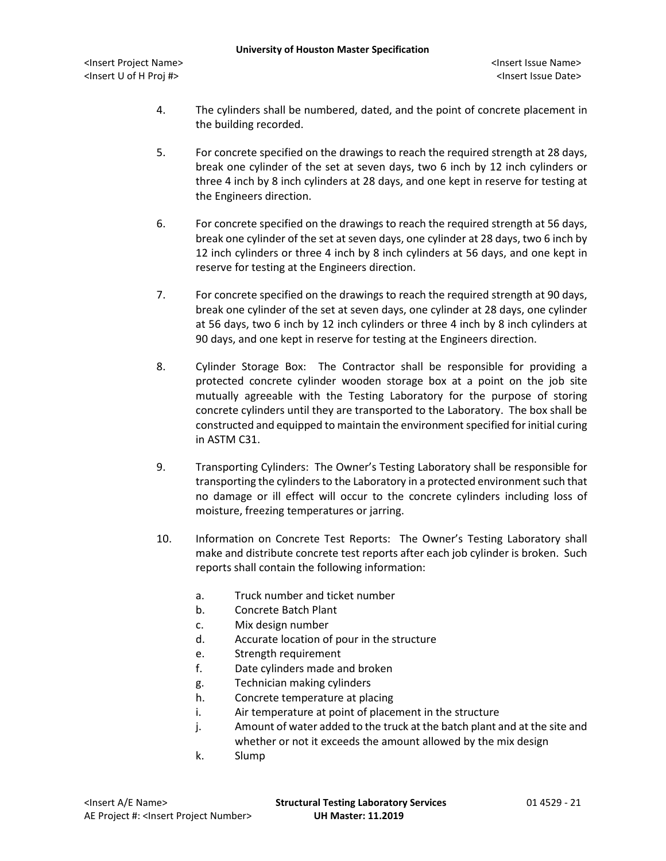- 4. The cylinders shall be numbered, dated, and the point of concrete placement in the building recorded.
- 5. For concrete specified on the drawings to reach the required strength at 28 days, break one cylinder of the set at seven days, two 6 inch by 12 inch cylinders or three 4 inch by 8 inch cylinders at 28 days, and one kept in reserve for testing at the Engineers direction.
- 6. For concrete specified on the drawings to reach the required strength at 56 days, break one cylinder of the set at seven days, one cylinder at 28 days, two 6 inch by 12 inch cylinders or three 4 inch by 8 inch cylinders at 56 days, and one kept in reserve for testing at the Engineers direction.
- 7. For concrete specified on the drawings to reach the required strength at 90 days, break one cylinder of the set at seven days, one cylinder at 28 days, one cylinder at 56 days, two 6 inch by 12 inch cylinders or three 4 inch by 8 inch cylinders at 90 days, and one kept in reserve for testing at the Engineers direction.
- 8. Cylinder Storage Box: The Contractor shall be responsible for providing a protected concrete cylinder wooden storage box at a point on the job site mutually agreeable with the Testing Laboratory for the purpose of storing concrete cylinders until they are transported to the Laboratory. The box shall be constructed and equipped to maintain the environment specified for initial curing in ASTM C31.
- 9. Transporting Cylinders: The Owner's Testing Laboratory shall be responsible for transporting the cylinders to the Laboratory in a protected environment such that no damage or ill effect will occur to the concrete cylinders including loss of moisture, freezing temperatures or jarring.
- 10. Information on Concrete Test Reports: The Owner's Testing Laboratory shall make and distribute concrete test reports after each job cylinder is broken. Such reports shall contain the following information:
	- a. Truck number and ticket number
	- b. Concrete Batch Plant
	- c. Mix design number
	- d. Accurate location of pour in the structure
	- e. Strength requirement
	- f. Date cylinders made and broken
	- g. Technician making cylinders
	- h. Concrete temperature at placing
	- i. Air temperature at point of placement in the structure
	- j. Amount of water added to the truck at the batch plant and at the site and whether or not it exceeds the amount allowed by the mix design
	- k. Slump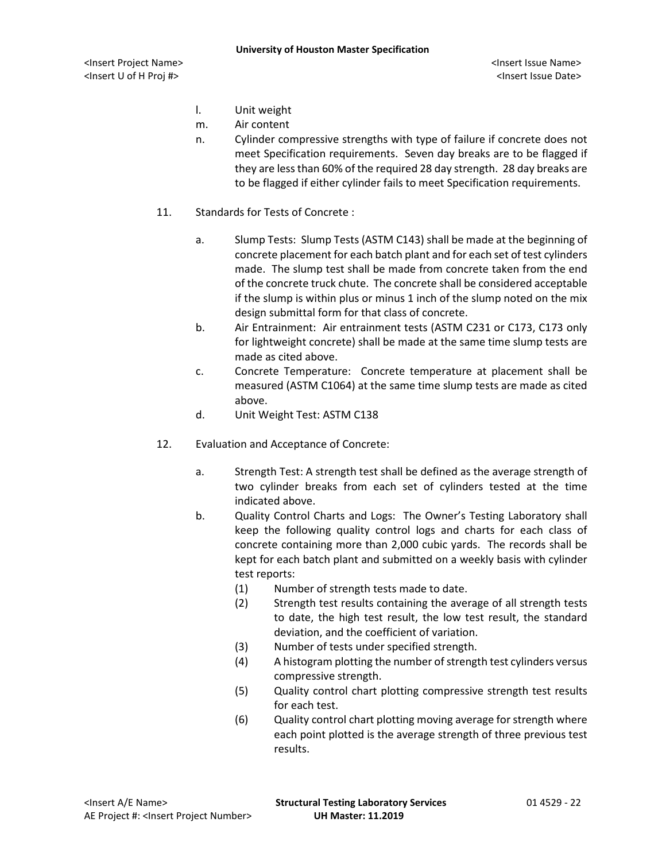- l. Unit weight
- m. Air content
- n. Cylinder compressive strengths with type of failure if concrete does not meet Specification requirements. Seven day breaks are to be flagged if they are less than 60% of the required 28 day strength. 28 day breaks are to be flagged if either cylinder fails to meet Specification requirements.
- 11. Standards for Tests of Concrete :
	- a. Slump Tests: Slump Tests (ASTM C143) shall be made at the beginning of concrete placement for each batch plant and for each set of test cylinders made. The slump test shall be made from concrete taken from the end of the concrete truck chute. The concrete shall be considered acceptable if the slump is within plus or minus 1 inch of the slump noted on the mix design submittal form for that class of concrete.
	- b. Air Entrainment: Air entrainment tests (ASTM C231 or C173, C173 only for lightweight concrete) shall be made at the same time slump tests are made as cited above.
	- c. Concrete Temperature: Concrete temperature at placement shall be measured (ASTM C1064) at the same time slump tests are made as cited above.
	- d. Unit Weight Test: ASTM C138
- 12. Evaluation and Acceptance of Concrete:
	- a. Strength Test: A strength test shall be defined as the average strength of two cylinder breaks from each set of cylinders tested at the time indicated above.
	- b. Quality Control Charts and Logs: The Owner's Testing Laboratory shall keep the following quality control logs and charts for each class of concrete containing more than 2,000 cubic yards. The records shall be kept for each batch plant and submitted on a weekly basis with cylinder test reports:
		- (1) Number of strength tests made to date.
		- (2) Strength test results containing the average of all strength tests to date, the high test result, the low test result, the standard deviation, and the coefficient of variation.
		- (3) Number of tests under specified strength.
		- (4) A histogram plotting the number of strength test cylinders versus compressive strength.
		- (5) Quality control chart plotting compressive strength test results for each test.
		- (6) Quality control chart plotting moving average for strength where each point plotted is the average strength of three previous test results.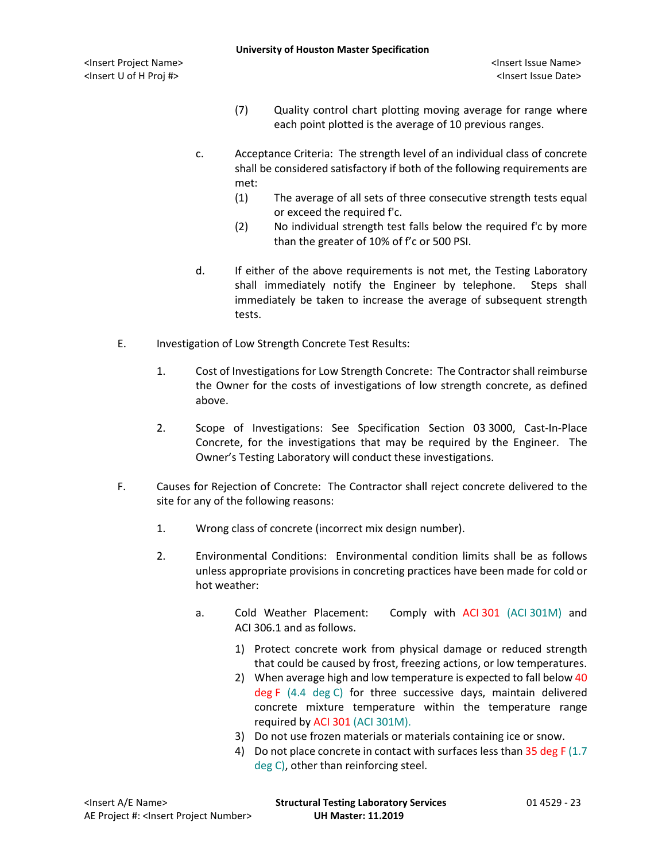- (7) Quality control chart plotting moving average for range where each point plotted is the average of 10 previous ranges.
- c. Acceptance Criteria: The strength level of an individual class of concrete shall be considered satisfactory if both of the following requirements are met:
	- (1) The average of all sets of three consecutive strength tests equal or exceed the required f'c.
	- (2) No individual strength test falls below the required f'c by more than the greater of 10% of f'c or 500 PSI.
- d. If either of the above requirements is not met, the Testing Laboratory shall immediately notify the Engineer by telephone. Steps shall immediately be taken to increase the average of subsequent strength tests.
- E. Investigation of Low Strength Concrete Test Results:
	- 1. Cost of Investigations for Low Strength Concrete: The Contractor shall reimburse the Owner for the costs of investigations of low strength concrete, as defined above.
	- 2. Scope of Investigations: See Specification Section 03 3000, Cast-In-Place Concrete, for the investigations that may be required by the Engineer. The Owner's Testing Laboratory will conduct these investigations.
- F. Causes for Rejection of Concrete: The Contractor shall reject concrete delivered to the site for any of the following reasons:
	- 1. Wrong class of concrete (incorrect mix design number).
	- 2. Environmental Conditions: Environmental condition limits shall be as follows unless appropriate provisions in concreting practices have been made for cold or hot weather:
		- a. Cold Weather Placement: Comply with ACI 301 (ACI 301M) and ACI 306.1 and as follows.
			- 1) Protect concrete work from physical damage or reduced strength that could be caused by frost, freezing actions, or low temperatures.
			- 2) When average high and low temperature is expected to fall below 40 deg F (4.4 deg C) for three successive days, maintain delivered concrete mixture temperature within the temperature range required by ACI 301 (ACI 301M).
			- 3) Do not use frozen materials or materials containing ice or snow.
			- 4) Do not place concrete in contact with surfaces less than 35 deg F (1.7) deg C), other than reinforcing steel.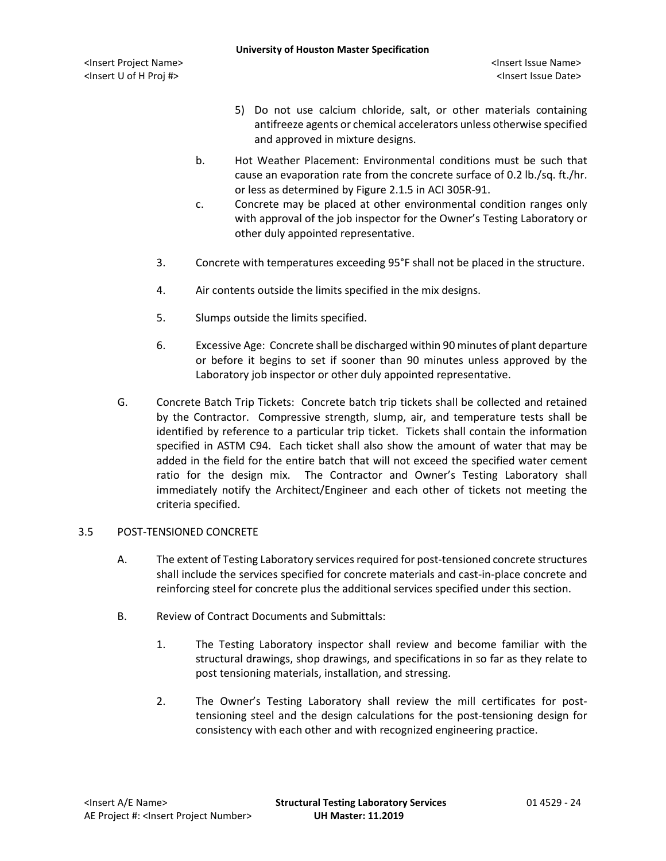- 5) Do not use calcium chloride, salt, or other materials containing antifreeze agents or chemical accelerators unless otherwise specified and approved in mixture designs.
- b. Hot Weather Placement: Environmental conditions must be such that cause an evaporation rate from the concrete surface of 0.2 lb./sq. ft./hr. or less as determined by Figure 2.1.5 in ACI 305R-91.
- c. Concrete may be placed at other environmental condition ranges only with approval of the job inspector for the Owner's Testing Laboratory or other duly appointed representative.
- 3. Concrete with temperatures exceeding 95°F shall not be placed in the structure.
- 4. Air contents outside the limits specified in the mix designs.
- 5. Slumps outside the limits specified.
- 6. Excessive Age: Concrete shall be discharged within 90 minutes of plant departure or before it begins to set if sooner than 90 minutes unless approved by the Laboratory job inspector or other duly appointed representative.
- G. Concrete Batch Trip Tickets: Concrete batch trip tickets shall be collected and retained by the Contractor. Compressive strength, slump, air, and temperature tests shall be identified by reference to a particular trip ticket. Tickets shall contain the information specified in ASTM C94. Each ticket shall also show the amount of water that may be added in the field for the entire batch that will not exceed the specified water cement ratio for the design mix. The Contractor and Owner's Testing Laboratory shall immediately notify the Architect/Engineer and each other of tickets not meeting the criteria specified.

# 3.5 POST-TENSIONED CONCRETE

- A. The extent of Testing Laboratory services required for post-tensioned concrete structures shall include the services specified for concrete materials and cast-in-place concrete and reinforcing steel for concrete plus the additional services specified under this section.
- B. Review of Contract Documents and Submittals:
	- 1. The Testing Laboratory inspector shall review and become familiar with the structural drawings, shop drawings, and specifications in so far as they relate to post tensioning materials, installation, and stressing.
	- 2. The Owner's Testing Laboratory shall review the mill certificates for posttensioning steel and the design calculations for the post-tensioning design for consistency with each other and with recognized engineering practice.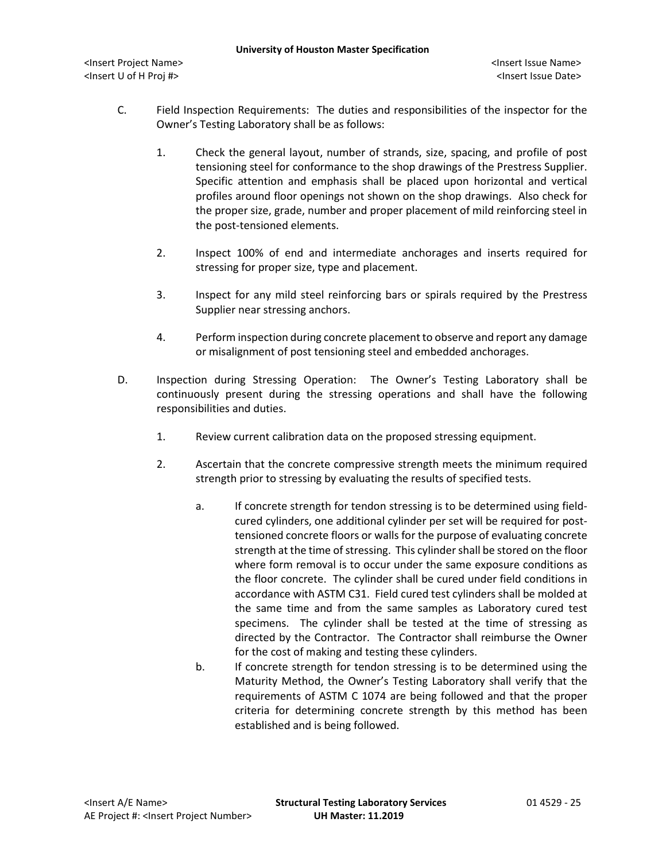- C. Field Inspection Requirements: The duties and responsibilities of the inspector for the Owner's Testing Laboratory shall be as follows:
	- 1. Check the general layout, number of strands, size, spacing, and profile of post tensioning steel for conformance to the shop drawings of the Prestress Supplier. Specific attention and emphasis shall be placed upon horizontal and vertical profiles around floor openings not shown on the shop drawings. Also check for the proper size, grade, number and proper placement of mild reinforcing steel in the post-tensioned elements.
	- 2. Inspect 100% of end and intermediate anchorages and inserts required for stressing for proper size, type and placement.
	- 3. Inspect for any mild steel reinforcing bars or spirals required by the Prestress Supplier near stressing anchors.
	- 4. Perform inspection during concrete placement to observe and report any damage or misalignment of post tensioning steel and embedded anchorages.
- D. Inspection during Stressing Operation: The Owner's Testing Laboratory shall be continuously present during the stressing operations and shall have the following responsibilities and duties.
	- 1. Review current calibration data on the proposed stressing equipment.
	- 2. Ascertain that the concrete compressive strength meets the minimum required strength prior to stressing by evaluating the results of specified tests.
		- a. If concrete strength for tendon stressing is to be determined using fieldcured cylinders, one additional cylinder per set will be required for posttensioned concrete floors or walls for the purpose of evaluating concrete strength at the time of stressing. This cylinder shall be stored on the floor where form removal is to occur under the same exposure conditions as the floor concrete. The cylinder shall be cured under field conditions in accordance with ASTM C31. Field cured test cylinders shall be molded at the same time and from the same samples as Laboratory cured test specimens. The cylinder shall be tested at the time of stressing as directed by the Contractor. The Contractor shall reimburse the Owner for the cost of making and testing these cylinders.
		- b. If concrete strength for tendon stressing is to be determined using the Maturity Method, the Owner's Testing Laboratory shall verify that the requirements of ASTM C 1074 are being followed and that the proper criteria for determining concrete strength by this method has been established and is being followed.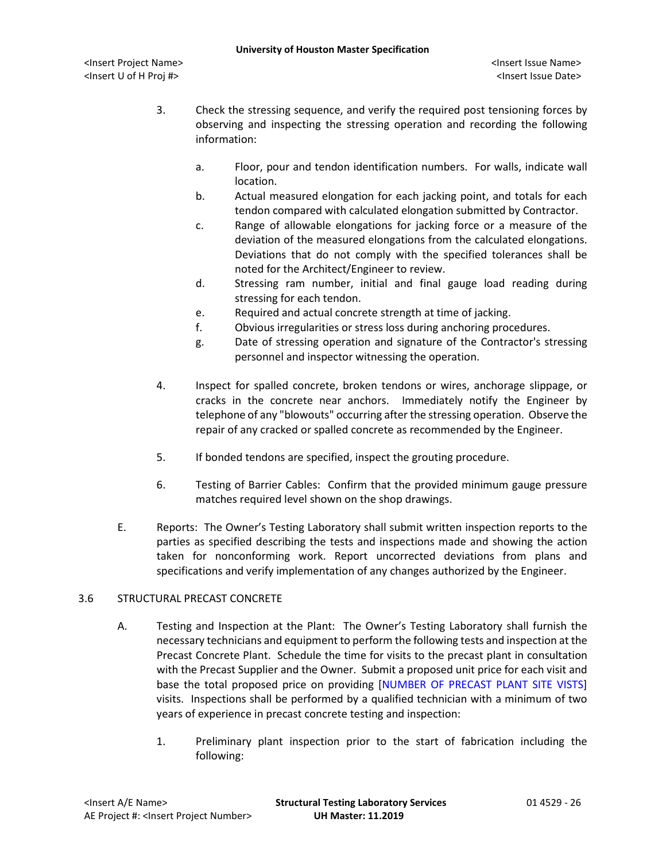- 3. Check the stressing sequence, and verify the required post tensioning forces by observing and inspecting the stressing operation and recording the following information:
	- a. Floor, pour and tendon identification numbers. For walls, indicate wall location.
	- b. Actual measured elongation for each jacking point, and totals for each tendon compared with calculated elongation submitted by Contractor.
	- c. Range of allowable elongations for jacking force or a measure of the deviation of the measured elongations from the calculated elongations. Deviations that do not comply with the specified tolerances shall be noted for the Architect/Engineer to review.
	- d. Stressing ram number, initial and final gauge load reading during stressing for each tendon.
	- e. Required and actual concrete strength at time of jacking.
	- f. Obvious irregularities or stress loss during anchoring procedures.
	- g. Date of stressing operation and signature of the Contractor's stressing personnel and inspector witnessing the operation.
- 4. Inspect for spalled concrete, broken tendons or wires, anchorage slippage, or cracks in the concrete near anchors. Immediately notify the Engineer by telephone of any "blowouts" occurring after the stressing operation. Observe the repair of any cracked or spalled concrete as recommended by the Engineer.
- 5. If bonded tendons are specified, inspect the grouting procedure.
- 6. Testing of Barrier Cables: Confirm that the provided minimum gauge pressure matches required level shown on the shop drawings.
- E. Reports: The Owner's Testing Laboratory shall submit written inspection reports to the parties as specified describing the tests and inspections made and showing the action taken for nonconforming work. Report uncorrected deviations from plans and specifications and verify implementation of any changes authorized by the Engineer.

# 3.6 STRUCTURAL PRECAST CONCRETE

- A. Testing and Inspection at the Plant: The Owner's Testing Laboratory shall furnish the necessary technicians and equipment to perform the following tests and inspection at the Precast Concrete Plant. Schedule the time for visits to the precast plant in consultation with the Precast Supplier and the Owner. Submit a proposed unit price for each visit and base the total proposed price on providing [NUMBER OF PRECAST PLANT SITE VISTS] visits. Inspections shall be performed by a qualified technician with a minimum of two years of experience in precast concrete testing and inspection:
	- 1. Preliminary plant inspection prior to the start of fabrication including the following: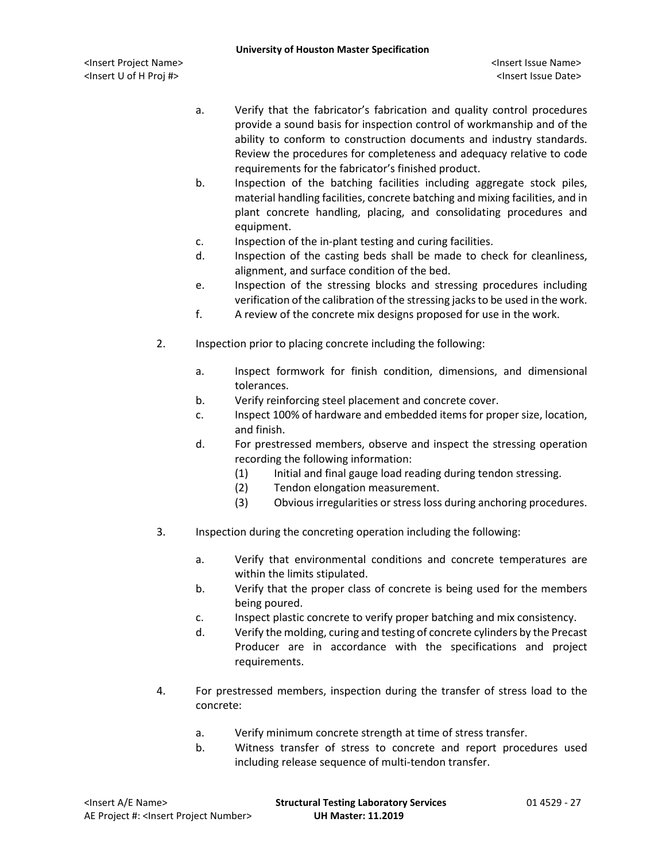- a. Verify that the fabricator's fabrication and quality control procedures provide a sound basis for inspection control of workmanship and of the ability to conform to construction documents and industry standards. Review the procedures for completeness and adequacy relative to code requirements for the fabricator's finished product.
- b. Inspection of the batching facilities including aggregate stock piles, material handling facilities, concrete batching and mixing facilities, and in plant concrete handling, placing, and consolidating procedures and equipment.
- c. Inspection of the in-plant testing and curing facilities.
- d. Inspection of the casting beds shall be made to check for cleanliness, alignment, and surface condition of the bed.
- e. Inspection of the stressing blocks and stressing procedures including verification of the calibration of the stressing jacks to be used in the work.
- f. A review of the concrete mix designs proposed for use in the work.
- 2. Inspection prior to placing concrete including the following:
	- a. Inspect formwork for finish condition, dimensions, and dimensional tolerances.
	- b. Verify reinforcing steel placement and concrete cover.
	- c. Inspect 100% of hardware and embedded items for proper size, location, and finish.
	- d. For prestressed members, observe and inspect the stressing operation recording the following information:
		- (1) Initial and final gauge load reading during tendon stressing.
		- (2) Tendon elongation measurement.
		- (3) Obvious irregularities or stress loss during anchoring procedures.
- 3. Inspection during the concreting operation including the following:
	- a. Verify that environmental conditions and concrete temperatures are within the limits stipulated.
	- b. Verify that the proper class of concrete is being used for the members being poured.
	- c. Inspect plastic concrete to verify proper batching and mix consistency.
	- d. Verify the molding, curing and testing of concrete cylinders by the Precast Producer are in accordance with the specifications and project requirements.
- 4. For prestressed members, inspection during the transfer of stress load to the concrete:
	- a. Verify minimum concrete strength at time of stress transfer.
	- b. Witness transfer of stress to concrete and report procedures used including release sequence of multi-tendon transfer.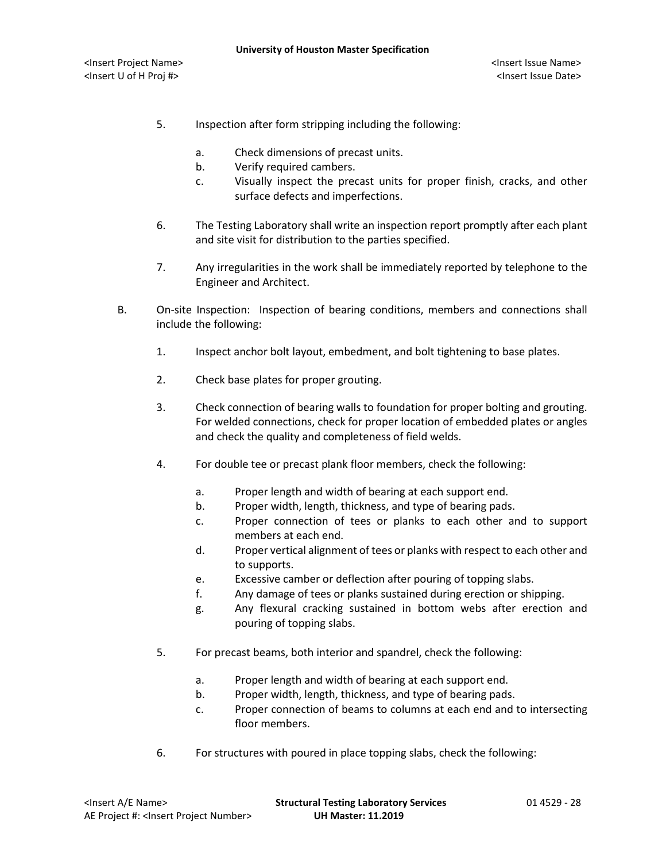- 5. Inspection after form stripping including the following:
	- a. Check dimensions of precast units.
	- b. Verify required cambers.
	- c. Visually inspect the precast units for proper finish, cracks, and other surface defects and imperfections.
- 6. The Testing Laboratory shall write an inspection report promptly after each plant and site visit for distribution to the parties specified.
- 7. Any irregularities in the work shall be immediately reported by telephone to the Engineer and Architect.
- B. On-site Inspection: Inspection of bearing conditions, members and connections shall include the following:
	- 1. Inspect anchor bolt layout, embedment, and bolt tightening to base plates.
	- 2. Check base plates for proper grouting.
	- 3. Check connection of bearing walls to foundation for proper bolting and grouting. For welded connections, check for proper location of embedded plates or angles and check the quality and completeness of field welds.
	- 4. For double tee or precast plank floor members, check the following:
		- a. Proper length and width of bearing at each support end.
		- b. Proper width, length, thickness, and type of bearing pads.
		- c. Proper connection of tees or planks to each other and to support members at each end.
		- d. Proper vertical alignment of tees or planks with respect to each other and to supports.
		- e. Excessive camber or deflection after pouring of topping slabs.
		- f. Any damage of tees or planks sustained during erection or shipping.
		- g. Any flexural cracking sustained in bottom webs after erection and pouring of topping slabs.
	- 5. For precast beams, both interior and spandrel, check the following:
		- a. Proper length and width of bearing at each support end.
		- b. Proper width, length, thickness, and type of bearing pads.
		- c. Proper connection of beams to columns at each end and to intersecting floor members.
	- 6. For structures with poured in place topping slabs, check the following: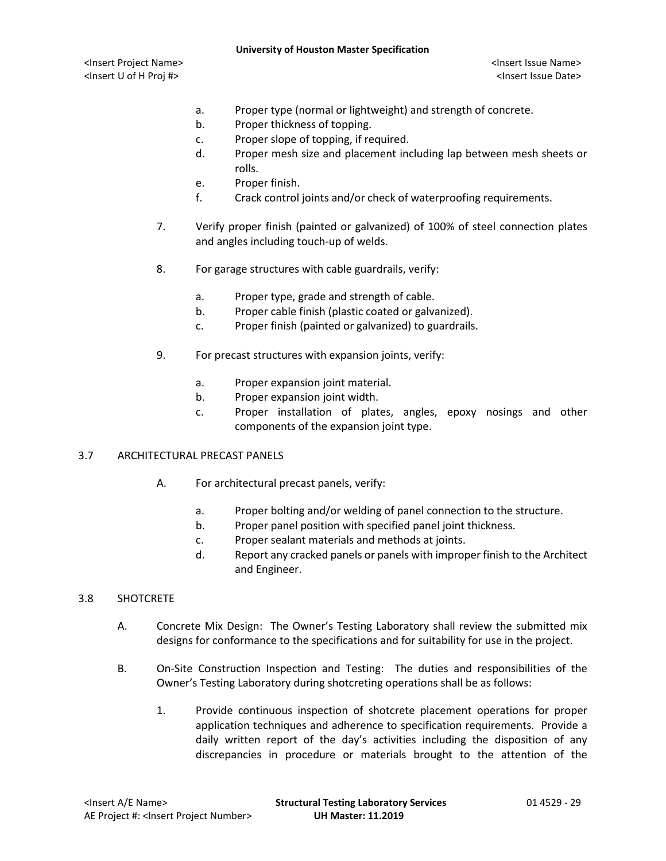**University of Houston Master Specification**

<Insert Project Name> <Insert Issue Name> <Insert U of H Proj #> <Insert Issue Date>

- a. Proper type (normal or lightweight) and strength of concrete.
- b. Proper thickness of topping.
- c. Proper slope of topping, if required.
- d. Proper mesh size and placement including lap between mesh sheets or rolls.
- e. Proper finish.
- f. Crack control joints and/or check of waterproofing requirements.
- 7. Verify proper finish (painted or galvanized) of 100% of steel connection plates and angles including touch-up of welds.
- 8. For garage structures with cable guardrails, verify:
	- a. Proper type, grade and strength of cable.
	- b. Proper cable finish (plastic coated or galvanized).
	- c. Proper finish (painted or galvanized) to guardrails.
- 9. For precast structures with expansion joints, verify:
	- a. Proper expansion joint material.
	- b. Proper expansion joint width.
	- c. Proper installation of plates, angles, epoxy nosings and other components of the expansion joint type.

## 3.7 ARCHITECTURAL PRECAST PANELS

- A. For architectural precast panels, verify:
	- a. Proper bolting and/or welding of panel connection to the structure.
	- b. Proper panel position with specified panel joint thickness.
	- c. Proper sealant materials and methods at joints.
	- d. Report any cracked panels or panels with improper finish to the Architect and Engineer.

# 3.8 SHOTCRETE

- A. Concrete Mix Design: The Owner's Testing Laboratory shall review the submitted mix designs for conformance to the specifications and for suitability for use in the project.
- B. On-Site Construction Inspection and Testing: The duties and responsibilities of the Owner's Testing Laboratory during shotcreting operations shall be as follows:
	- 1. Provide continuous inspection of shotcrete placement operations for proper application techniques and adherence to specification requirements. Provide a daily written report of the day's activities including the disposition of any discrepancies in procedure or materials brought to the attention of the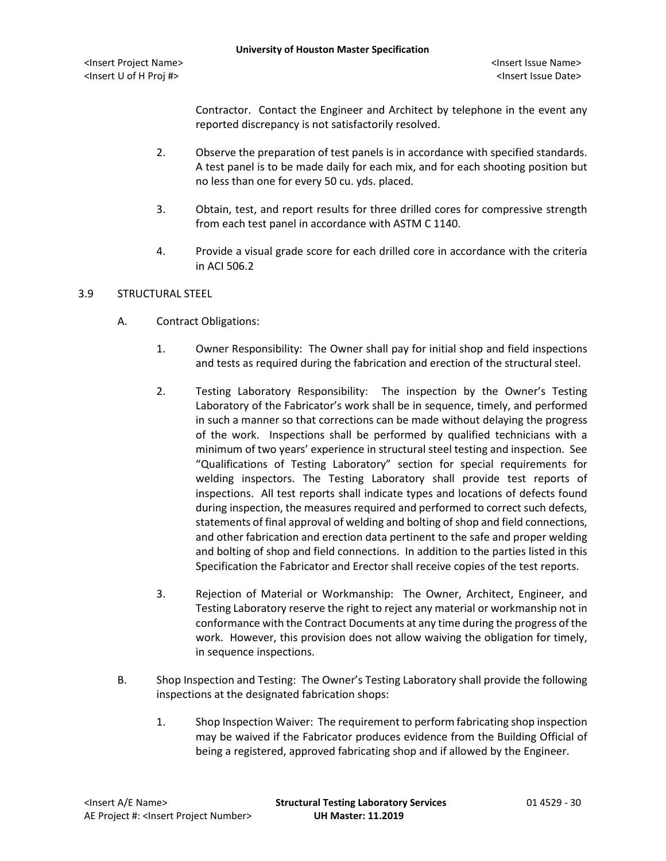Contractor. Contact the Engineer and Architect by telephone in the event any reported discrepancy is not satisfactorily resolved.

- 2. Observe the preparation of test panels is in accordance with specified standards. A test panel is to be made daily for each mix, and for each shooting position but no less than one for every 50 cu. yds. placed.
- 3. Obtain, test, and report results for three drilled cores for compressive strength from each test panel in accordance with ASTM C 1140.
- 4. Provide a visual grade score for each drilled core in accordance with the criteria in ACI 506.2

# 3.9 STRUCTURAL STEEL

- A. Contract Obligations:
	- 1. Owner Responsibility: The Owner shall pay for initial shop and field inspections and tests as required during the fabrication and erection of the structural steel.
	- 2. Testing Laboratory Responsibility: The inspection by the Owner's Testing Laboratory of the Fabricator's work shall be in sequence, timely, and performed in such a manner so that corrections can be made without delaying the progress of the work. Inspections shall be performed by qualified technicians with a minimum of two years' experience in structural steel testing and inspection. See "Qualifications of Testing Laboratory" section for special requirements for welding inspectors. The Testing Laboratory shall provide test reports of inspections. All test reports shall indicate types and locations of defects found during inspection, the measures required and performed to correct such defects, statements of final approval of welding and bolting of shop and field connections, and other fabrication and erection data pertinent to the safe and proper welding and bolting of shop and field connections. In addition to the parties listed in this Specification the Fabricator and Erector shall receive copies of the test reports.
	- 3. Rejection of Material or Workmanship: The Owner, Architect, Engineer, and Testing Laboratory reserve the right to reject any material or workmanship not in conformance with the Contract Documents at any time during the progress of the work. However, this provision does not allow waiving the obligation for timely, in sequence inspections.
- B. Shop Inspection and Testing: The Owner's Testing Laboratory shall provide the following inspections at the designated fabrication shops:
	- 1. Shop Inspection Waiver: The requirement to perform fabricating shop inspection may be waived if the Fabricator produces evidence from the Building Official of being a registered, approved fabricating shop and if allowed by the Engineer.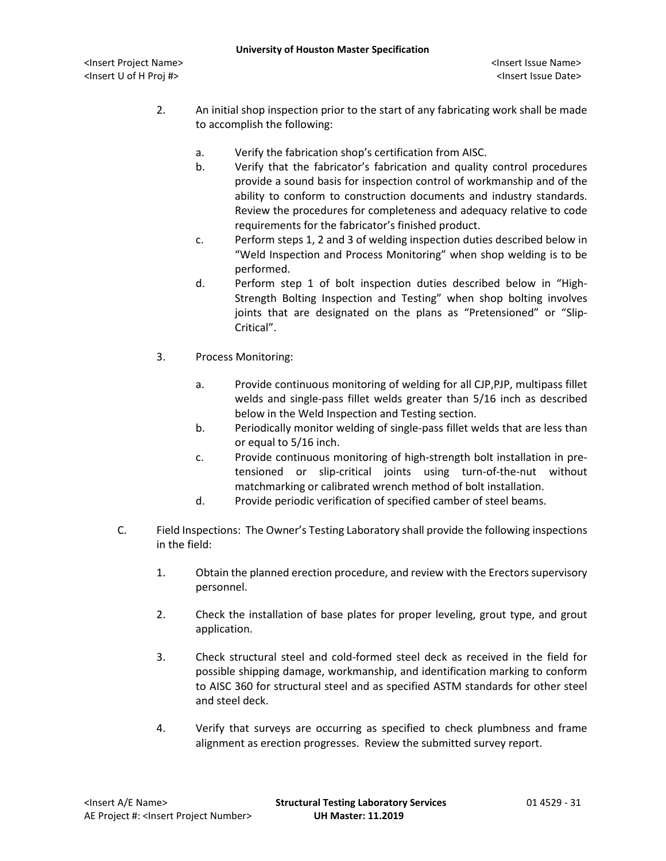- 2. An initial shop inspection prior to the start of any fabricating work shall be made to accomplish the following:
	- a. Verify the fabrication shop's certification from AISC.
	- b. Verify that the fabricator's fabrication and quality control procedures provide a sound basis for inspection control of workmanship and of the ability to conform to construction documents and industry standards. Review the procedures for completeness and adequacy relative to code requirements for the fabricator's finished product.
	- c. Perform steps 1, 2 and 3 of welding inspection duties described below in "Weld Inspection and Process Monitoring" when shop welding is to be performed.
	- d. Perform step 1 of bolt inspection duties described below in "High-Strength Bolting Inspection and Testing" when shop bolting involves joints that are designated on the plans as "Pretensioned" or "Slip-Critical".
- 3. Process Monitoring:
	- a. Provide continuous monitoring of welding for all CJP,PJP, multipass fillet welds and single-pass fillet welds greater than 5/16 inch as described below in the Weld Inspection and Testing section.
	- b. Periodically monitor welding of single-pass fillet welds that are less than or equal to 5/16 inch.
	- c. Provide continuous monitoring of high-strength bolt installation in pretensioned or slip-critical joints using turn-of-the-nut without matchmarking or calibrated wrench method of bolt installation.
	- d. Provide periodic verification of specified camber of steel beams.
- C. Field Inspections: The Owner's Testing Laboratory shall provide the following inspections in the field:
	- 1. Obtain the planned erection procedure, and review with the Erectors supervisory personnel.
	- 2. Check the installation of base plates for proper leveling, grout type, and grout application.
	- 3. Check structural steel and cold-formed steel deck as received in the field for possible shipping damage, workmanship, and identification marking to conform to AISC 360 for structural steel and as specified ASTM standards for other steel and steel deck.
	- 4. Verify that surveys are occurring as specified to check plumbness and frame alignment as erection progresses. Review the submitted survey report.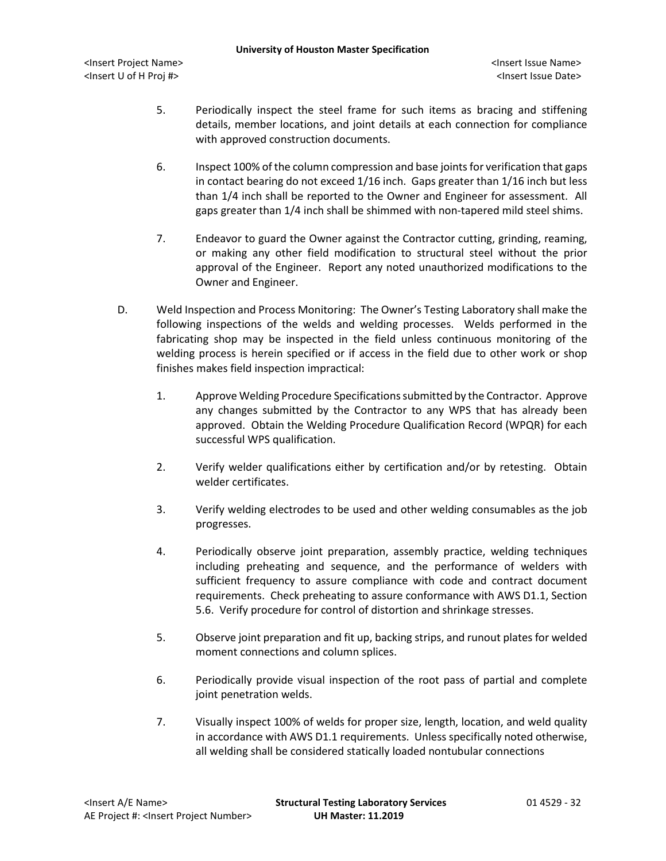- 5. Periodically inspect the steel frame for such items as bracing and stiffening details, member locations, and joint details at each connection for compliance with approved construction documents.
- 6. Inspect 100% of the column compression and base joints for verification that gaps in contact bearing do not exceed 1/16 inch. Gaps greater than 1/16 inch but less than 1/4 inch shall be reported to the Owner and Engineer for assessment. All gaps greater than 1/4 inch shall be shimmed with non-tapered mild steel shims.
- 7. Endeavor to guard the Owner against the Contractor cutting, grinding, reaming, or making any other field modification to structural steel without the prior approval of the Engineer. Report any noted unauthorized modifications to the Owner and Engineer.
- D. Weld Inspection and Process Monitoring: The Owner's Testing Laboratory shall make the following inspections of the welds and welding processes. Welds performed in the fabricating shop may be inspected in the field unless continuous monitoring of the welding process is herein specified or if access in the field due to other work or shop finishes makes field inspection impractical:
	- 1. Approve Welding Procedure Specifications submitted by the Contractor. Approve any changes submitted by the Contractor to any WPS that has already been approved. Obtain the Welding Procedure Qualification Record (WPQR) for each successful WPS qualification.
	- 2. Verify welder qualifications either by certification and/or by retesting. Obtain welder certificates.
	- 3. Verify welding electrodes to be used and other welding consumables as the job progresses.
	- 4. Periodically observe joint preparation, assembly practice, welding techniques including preheating and sequence, and the performance of welders with sufficient frequency to assure compliance with code and contract document requirements. Check preheating to assure conformance with AWS D1.1, Section 5.6. Verify procedure for control of distortion and shrinkage stresses.
	- 5. Observe joint preparation and fit up, backing strips, and runout plates for welded moment connections and column splices.
	- 6. Periodically provide visual inspection of the root pass of partial and complete joint penetration welds.
	- 7. Visually inspect 100% of welds for proper size, length, location, and weld quality in accordance with AWS D1.1 requirements. Unless specifically noted otherwise, all welding shall be considered statically loaded nontubular connections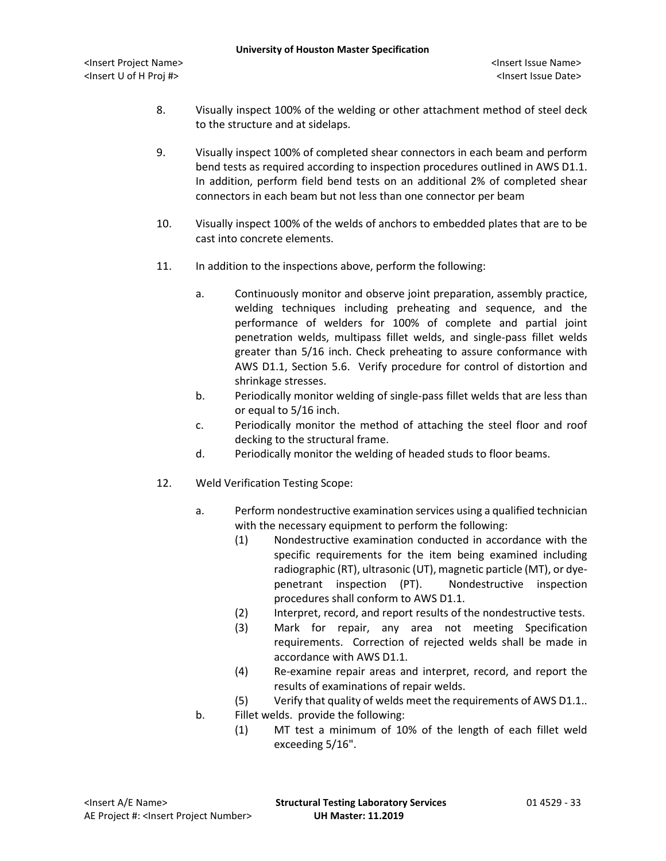- 8. Visually inspect 100% of the welding or other attachment method of steel deck to the structure and at sidelaps.
- 9. Visually inspect 100% of completed shear connectors in each beam and perform bend tests as required according to inspection procedures outlined in AWS D1.1. In addition, perform field bend tests on an additional 2% of completed shear connectors in each beam but not less than one connector per beam
- 10. Visually inspect 100% of the welds of anchors to embedded plates that are to be cast into concrete elements.
- 11. In addition to the inspections above, perform the following:
	- a. Continuously monitor and observe joint preparation, assembly practice, welding techniques including preheating and sequence, and the performance of welders for 100% of complete and partial joint penetration welds, multipass fillet welds, and single-pass fillet welds greater than 5/16 inch. Check preheating to assure conformance with AWS D1.1, Section 5.6. Verify procedure for control of distortion and shrinkage stresses.
	- b. Periodically monitor welding of single-pass fillet welds that are less than or equal to 5/16 inch.
	- c. Periodically monitor the method of attaching the steel floor and roof decking to the structural frame.
	- d. Periodically monitor the welding of headed studs to floor beams.
- 12. Weld Verification Testing Scope:
	- a. Perform nondestructive examination services using a qualified technician with the necessary equipment to perform the following:
		- (1) Nondestructive examination conducted in accordance with the specific requirements for the item being examined including radiographic (RT), ultrasonic (UT), magnetic particle (MT), or dyepenetrant inspection (PT). Nondestructive inspection procedures shall conform to AWS D1.1.
		- (2) Interpret, record, and report results of the nondestructive tests.
		- (3) Mark for repair, any area not meeting Specification requirements. Correction of rejected welds shall be made in accordance with AWS D1.1.
		- (4) Re-examine repair areas and interpret, record, and report the results of examinations of repair welds.
		- (5) Verify that quality of welds meet the requirements of AWS D1.1..
	- b. Fillet welds. provide the following:
		- (1) MT test a minimum of 10% of the length of each fillet weld exceeding 5/16".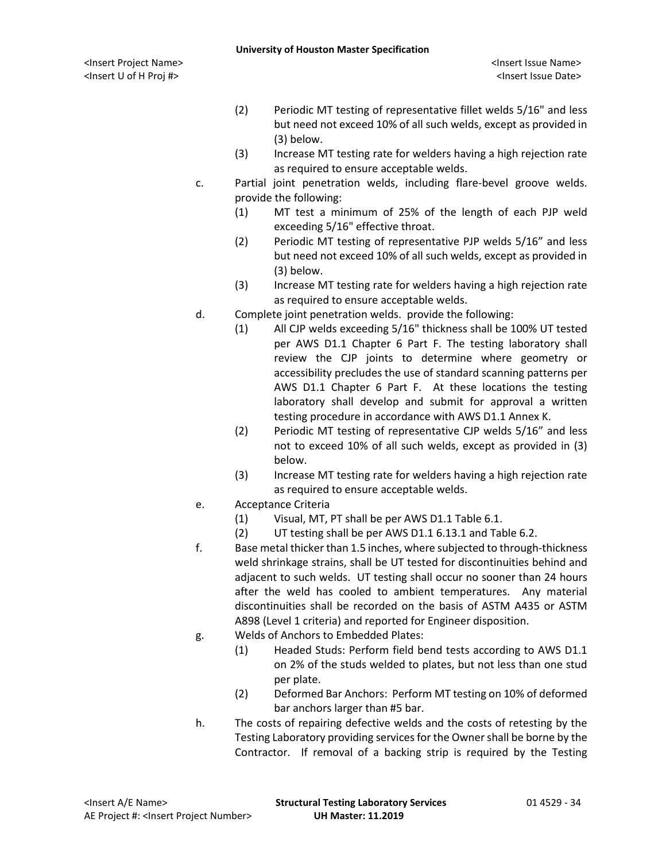- (2) Periodic MT testing of representative fillet welds 5/16" and less but need not exceed 10% of all such welds, except as provided in (3) below.
- (3) Increase MT testing rate for welders having a high rejection rate as required to ensure acceptable welds.
- c. Partial joint penetration welds, including flare-bevel groove welds. provide the following:
	- (1) MT test a minimum of 25% of the length of each PJP weld exceeding 5/16" effective throat.
	- (2) Periodic MT testing of representative PJP welds 5/16" and less but need not exceed 10% of all such welds, except as provided in (3) below.
	- (3) Increase MT testing rate for welders having a high rejection rate as required to ensure acceptable welds.
- d. Complete joint penetration welds. provide the following:
	- (1) All CJP welds exceeding 5/16" thickness shall be 100% UT tested per AWS D1.1 Chapter 6 Part F. The testing laboratory shall review the CJP joints to determine where geometry or accessibility precludes the use of standard scanning patterns per AWS D1.1 Chapter 6 Part F. At these locations the testing laboratory shall develop and submit for approval a written testing procedure in accordance with AWS D1.1 Annex K.
	- (2) Periodic MT testing of representative CJP welds 5/16" and less not to exceed 10% of all such welds, except as provided in (3) below.
	- (3) Increase MT testing rate for welders having a high rejection rate as required to ensure acceptable welds.
- e. Acceptance Criteria
	- (1) Visual, MT, PT shall be per AWS D1.1 Table 6.1.
	- (2) UT testing shall be per AWS D1.1 6.13.1 and Table 6.2.
- f. Base metal thicker than 1.5 inches, where subjected to through-thickness weld shrinkage strains, shall be UT tested for discontinuities behind and adjacent to such welds. UT testing shall occur no sooner than 24 hours after the weld has cooled to ambient temperatures. Any material discontinuities shall be recorded on the basis of ASTM A435 or ASTM A898 (Level 1 criteria) and reported for Engineer disposition.
- g. Welds of Anchors to Embedded Plates:
	- (1) Headed Studs: Perform field bend tests according to AWS D1.1 on 2% of the studs welded to plates, but not less than one stud per plate.
	- (2) Deformed Bar Anchors: Perform MT testing on 10% of deformed bar anchors larger than #5 bar.
- h. The costs of repairing defective welds and the costs of retesting by the Testing Laboratory providing services for the Owner shall be borne by the Contractor. If removal of a backing strip is required by the Testing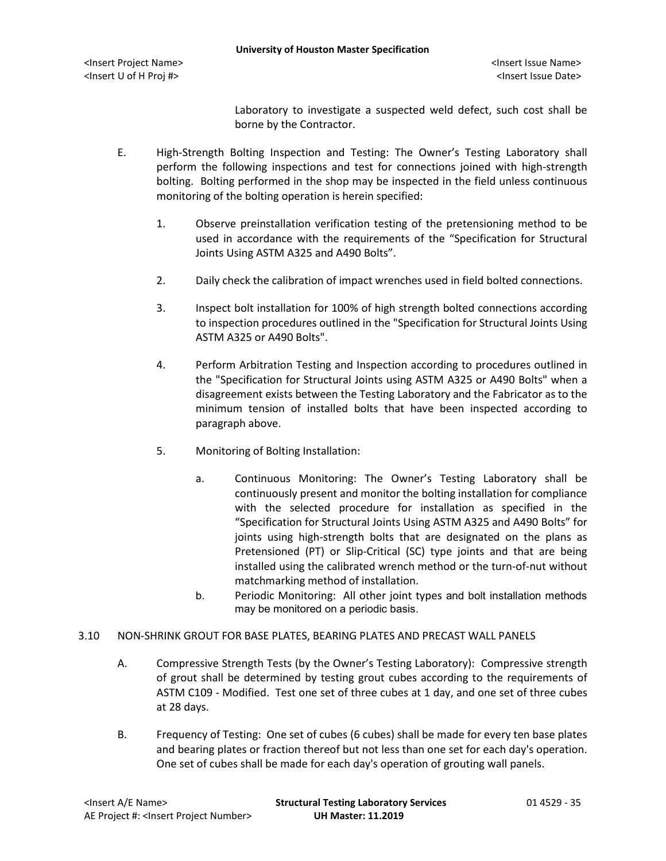Laboratory to investigate a suspected weld defect, such cost shall be borne by the Contractor.

- E. High-Strength Bolting Inspection and Testing: The Owner's Testing Laboratory shall perform the following inspections and test for connections joined with high-strength bolting. Bolting performed in the shop may be inspected in the field unless continuous monitoring of the bolting operation is herein specified:
	- 1. Observe preinstallation verification testing of the pretensioning method to be used in accordance with the requirements of the "Specification for Structural Joints Using ASTM A325 and A490 Bolts".
	- 2. Daily check the calibration of impact wrenches used in field bolted connections.
	- 3. Inspect bolt installation for 100% of high strength bolted connections according to inspection procedures outlined in the "Specification for Structural Joints Using ASTM A325 or A490 Bolts".
	- 4. Perform Arbitration Testing and Inspection according to procedures outlined in the "Specification for Structural Joints using ASTM A325 or A490 Bolts" when a disagreement exists between the Testing Laboratory and the Fabricator as to the minimum tension of installed bolts that have been inspected according to paragraph above.
	- 5. Monitoring of Bolting Installation:
		- a. Continuous Monitoring: The Owner's Testing Laboratory shall be continuously present and monitor the bolting installation for compliance with the selected procedure for installation as specified in the "Specification for Structural Joints Using ASTM A325 and A490 Bolts" for joints using high-strength bolts that are designated on the plans as Pretensioned (PT) or Slip-Critical (SC) type joints and that are being installed using the calibrated wrench method or the turn-of-nut without matchmarking method of installation.
		- b. Periodic Monitoring: All other joint types and bolt installation methods may be monitored on a periodic basis.
- 3.10 NON-SHRINK GROUT FOR BASE PLATES, BEARING PLATES AND PRECAST WALL PANELS
	- A. Compressive Strength Tests (by the Owner's Testing Laboratory): Compressive strength of grout shall be determined by testing grout cubes according to the requirements of ASTM C109 - Modified. Test one set of three cubes at 1 day, and one set of three cubes at 28 days.
	- B. Frequency of Testing: One set of cubes (6 cubes) shall be made for every ten base plates and bearing plates or fraction thereof but not less than one set for each day's operation. One set of cubes shall be made for each day's operation of grouting wall panels.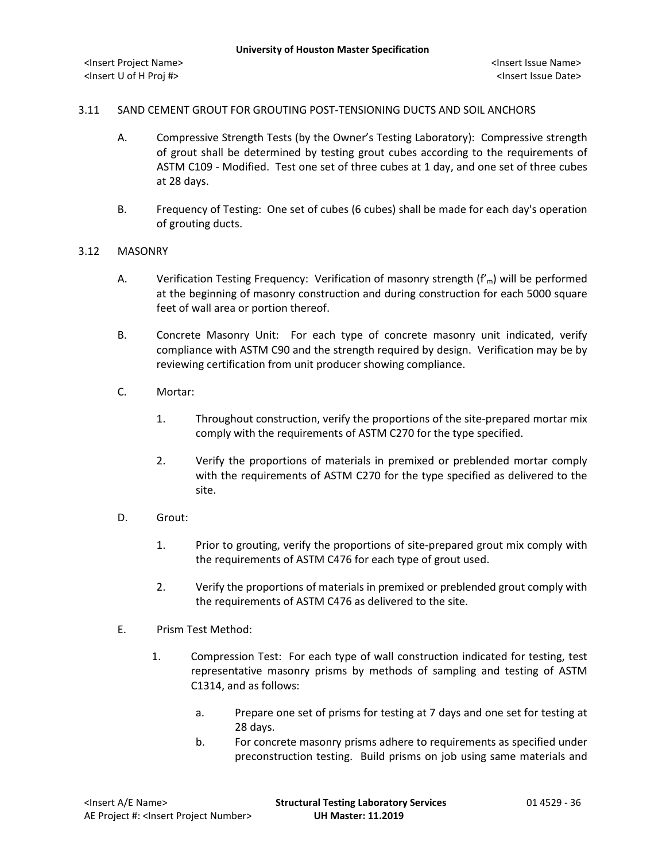# 3.11 SAND CEMENT GROUT FOR GROUTING POST-TENSIONING DUCTS AND SOIL ANCHORS

- A. Compressive Strength Tests (by the Owner's Testing Laboratory): Compressive strength of grout shall be determined by testing grout cubes according to the requirements of ASTM C109 - Modified. Test one set of three cubes at 1 day, and one set of three cubes at 28 days.
- B. Frequency of Testing: One set of cubes (6 cubes) shall be made for each day's operation of grouting ducts.

## 3.12 MASONRY

- A. Verification Testing Frequency: Verification of masonry strength  $(f'_m)$  will be performed at the beginning of masonry construction and during construction for each 5000 square feet of wall area or portion thereof.
- B. Concrete Masonry Unit: For each type of concrete masonry unit indicated, verify compliance with ASTM C90 and the strength required by design. Verification may be by reviewing certification from unit producer showing compliance.
- C. Mortar:
	- 1. Throughout construction, verify the proportions of the site-prepared mortar mix comply with the requirements of ASTM C270 for the type specified.
	- 2. Verify the proportions of materials in premixed or preblended mortar comply with the requirements of ASTM C270 for the type specified as delivered to the site.
- D. Grout:
	- 1. Prior to grouting, verify the proportions of site-prepared grout mix comply with the requirements of ASTM C476 for each type of grout used.
	- 2. Verify the proportions of materials in premixed or preblended grout comply with the requirements of ASTM C476 as delivered to the site.
- E. Prism Test Method:
	- 1. Compression Test: For each type of wall construction indicated for testing, test representative masonry prisms by methods of sampling and testing of ASTM C1314, and as follows:
		- a. Prepare one set of prisms for testing at 7 days and one set for testing at 28 days.
		- b. For concrete masonry prisms adhere to requirements as specified under preconstruction testing. Build prisms on job using same materials and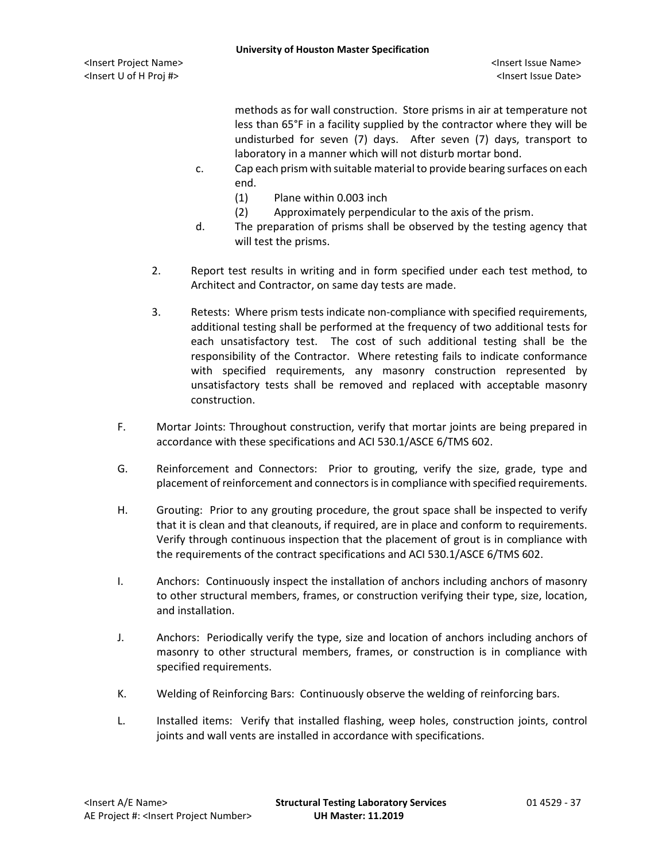methods as for wall construction. Store prisms in air at temperature not less than 65°F in a facility supplied by the contractor where they will be undisturbed for seven (7) days. After seven (7) days, transport to laboratory in a manner which will not disturb mortar bond.

- c. Cap each prism with suitable material to provide bearing surfaces on each end.
	- (1) Plane within 0.003 inch
	- (2) Approximately perpendicular to the axis of the prism.
- d. The preparation of prisms shall be observed by the testing agency that will test the prisms.
- 2. Report test results in writing and in form specified under each test method, to Architect and Contractor, on same day tests are made.
- 3. Retests: Where prism tests indicate non-compliance with specified requirements, additional testing shall be performed at the frequency of two additional tests for each unsatisfactory test. The cost of such additional testing shall be the responsibility of the Contractor. Where retesting fails to indicate conformance with specified requirements, any masonry construction represented by unsatisfactory tests shall be removed and replaced with acceptable masonry construction.
- F. Mortar Joints: Throughout construction, verify that mortar joints are being prepared in accordance with these specifications and ACI 530.1/ASCE 6/TMS 602.
- G. Reinforcement and Connectors: Prior to grouting, verify the size, grade, type and placement of reinforcement and connectors is in compliance with specified requirements.
- H. Grouting: Prior to any grouting procedure, the grout space shall be inspected to verify that it is clean and that cleanouts, if required, are in place and conform to requirements. Verify through continuous inspection that the placement of grout is in compliance with the requirements of the contract specifications and ACI 530.1/ASCE 6/TMS 602.
- I. Anchors: Continuously inspect the installation of anchors including anchors of masonry to other structural members, frames, or construction verifying their type, size, location, and installation.
- J. Anchors: Periodically verify the type, size and location of anchors including anchors of masonry to other structural members, frames, or construction is in compliance with specified requirements.
- K. Welding of Reinforcing Bars: Continuously observe the welding of reinforcing bars.
- L. Installed items: Verify that installed flashing, weep holes, construction joints, control joints and wall vents are installed in accordance with specifications.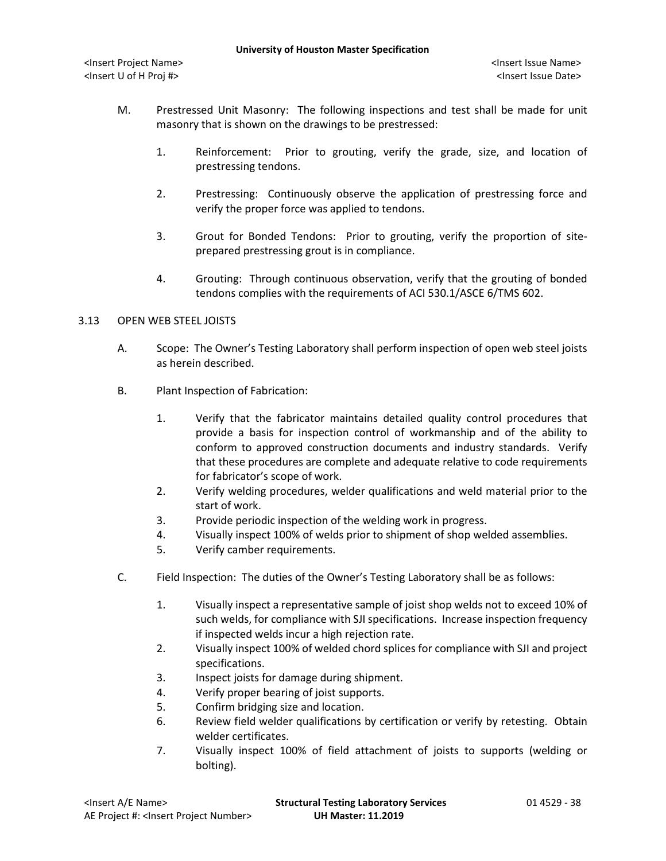- M. Prestressed Unit Masonry: The following inspections and test shall be made for unit masonry that is shown on the drawings to be prestressed:
	- 1. Reinforcement: Prior to grouting, verify the grade, size, and location of prestressing tendons.
	- 2. Prestressing: Continuously observe the application of prestressing force and verify the proper force was applied to tendons.
	- 3. Grout for Bonded Tendons: Prior to grouting, verify the proportion of siteprepared prestressing grout is in compliance.
	- 4. Grouting: Through continuous observation, verify that the grouting of bonded tendons complies with the requirements of ACI 530.1/ASCE 6/TMS 602.

# 3.13 OPEN WEB STEEL JOISTS

- A. Scope: The Owner's Testing Laboratory shall perform inspection of open web steel joists as herein described.
- B. Plant Inspection of Fabrication:
	- 1. Verify that the fabricator maintains detailed quality control procedures that provide a basis for inspection control of workmanship and of the ability to conform to approved construction documents and industry standards. Verify that these procedures are complete and adequate relative to code requirements for fabricator's scope of work.
	- 2. Verify welding procedures, welder qualifications and weld material prior to the start of work.
	- 3. Provide periodic inspection of the welding work in progress.
	- 4. Visually inspect 100% of welds prior to shipment of shop welded assemblies.
	- 5. Verify camber requirements.
- C. Field Inspection: The duties of the Owner's Testing Laboratory shall be as follows:
	- 1. Visually inspect a representative sample of joist shop welds not to exceed 10% of such welds, for compliance with SJI specifications. Increase inspection frequency if inspected welds incur a high rejection rate.
	- 2. Visually inspect 100% of welded chord splices for compliance with SJI and project specifications.
	- 3. Inspect joists for damage during shipment.
	- 4. Verify proper bearing of joist supports.
	- 5. Confirm bridging size and location.
	- 6. Review field welder qualifications by certification or verify by retesting. Obtain welder certificates.
	- 7. Visually inspect 100% of field attachment of joists to supports (welding or bolting).